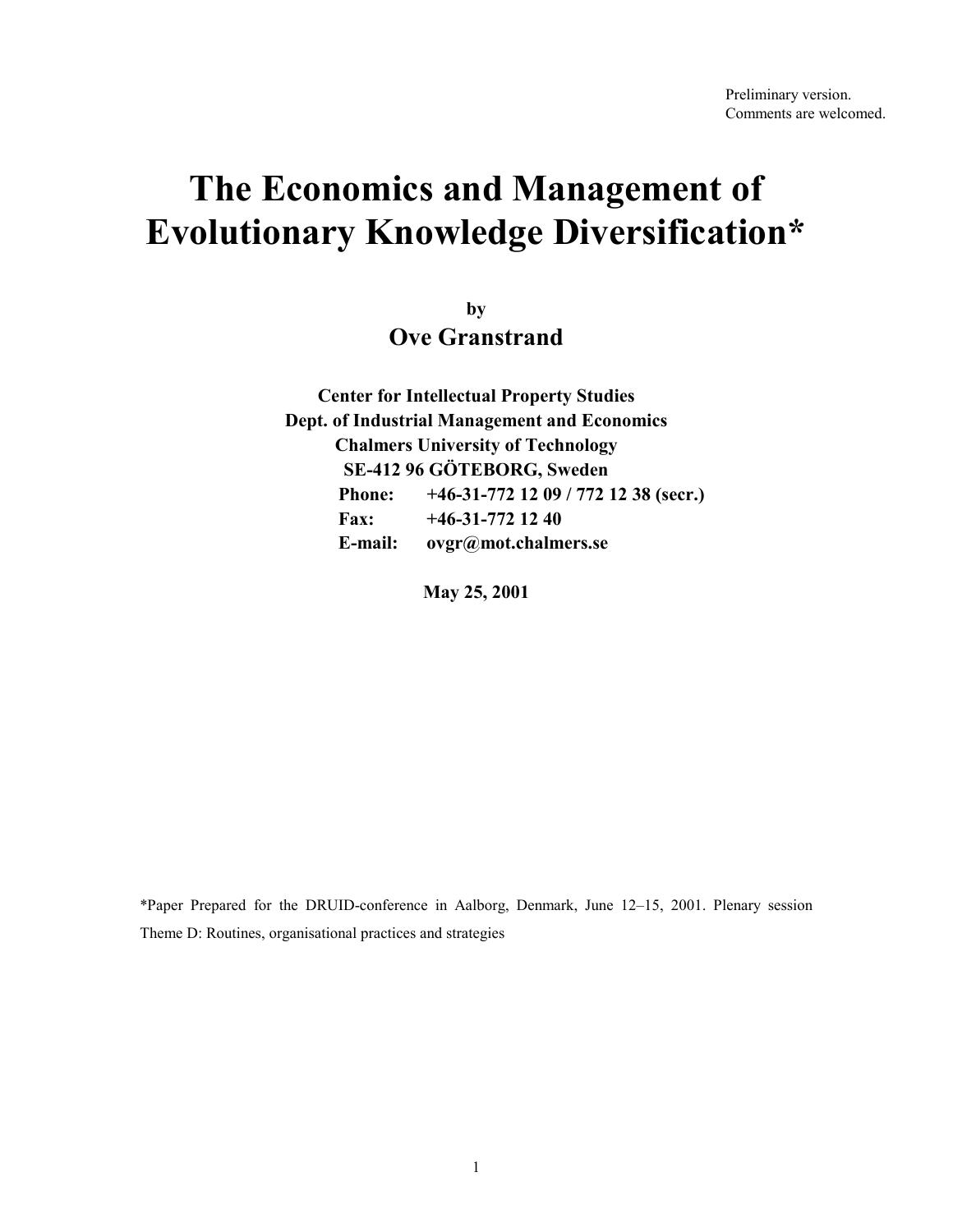# **The Economics and Management of Evolutionary Knowledge Diversification\***

**by Ove Granstrand** 

**Center for Intellectual Property Studies Dept. of Industrial Management and Economics Chalmers University of Technology SE-412 96 GÖTEBORG, Sweden Phone: +46-31-772 12 09 / 772 12 38 (secr.) Fax: +46-31-772 12 40 E-mail: ovgr@mot.chalmers.se** 

**May 25, 2001** 

\*Paper Prepared for the DRUID-conference in Aalborg, Denmark, June 12–15, 2001. Plenary session Theme D: Routines, organisational practices and strategies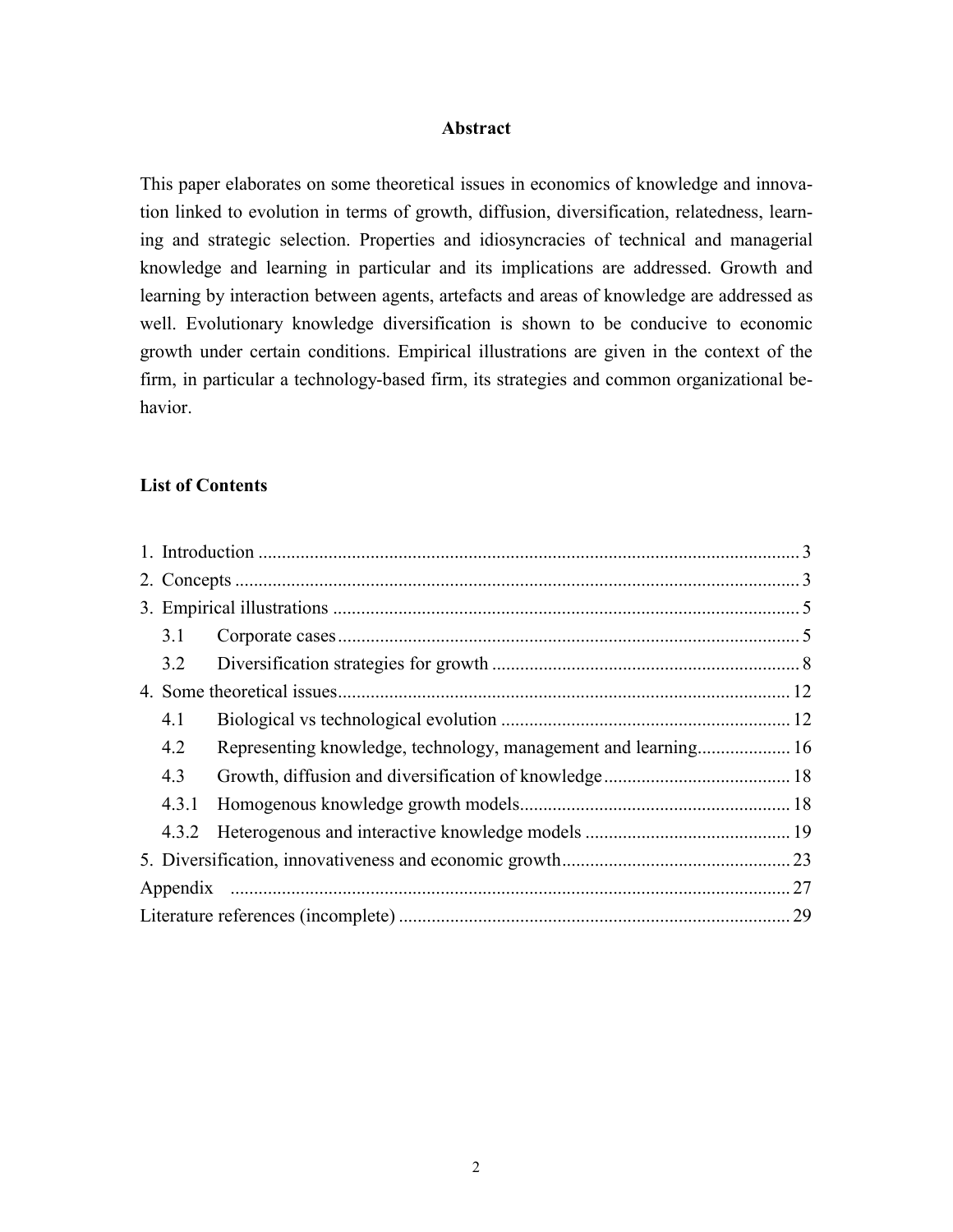#### **Abstract**

This paper elaborates on some theoretical issues in economics of knowledge and innovation linked to evolution in terms of growth, diffusion, diversification, relatedness, learning and strategic selection. Properties and idiosyncracies of technical and managerial knowledge and learning in particular and its implications are addressed. Growth and learning by interaction between agents, artefacts and areas of knowledge are addressed as well. Evolutionary knowledge diversification is shown to be conducive to economic growth under certain conditions. Empirical illustrations are given in the context of the firm, in particular a technology-based firm, its strategies and common organizational behavior.

#### **List of Contents**

|  | 3.1   |                                                                |     |  |
|--|-------|----------------------------------------------------------------|-----|--|
|  | 3.2   |                                                                |     |  |
|  |       |                                                                |     |  |
|  | 4.1   |                                                                |     |  |
|  | 4.2   | Representing knowledge, technology, management and learning 16 |     |  |
|  | 4.3   |                                                                |     |  |
|  | 4.3.1 |                                                                |     |  |
|  | 4.3.2 |                                                                |     |  |
|  |       |                                                                |     |  |
|  |       |                                                                | .27 |  |
|  | 29    |                                                                |     |  |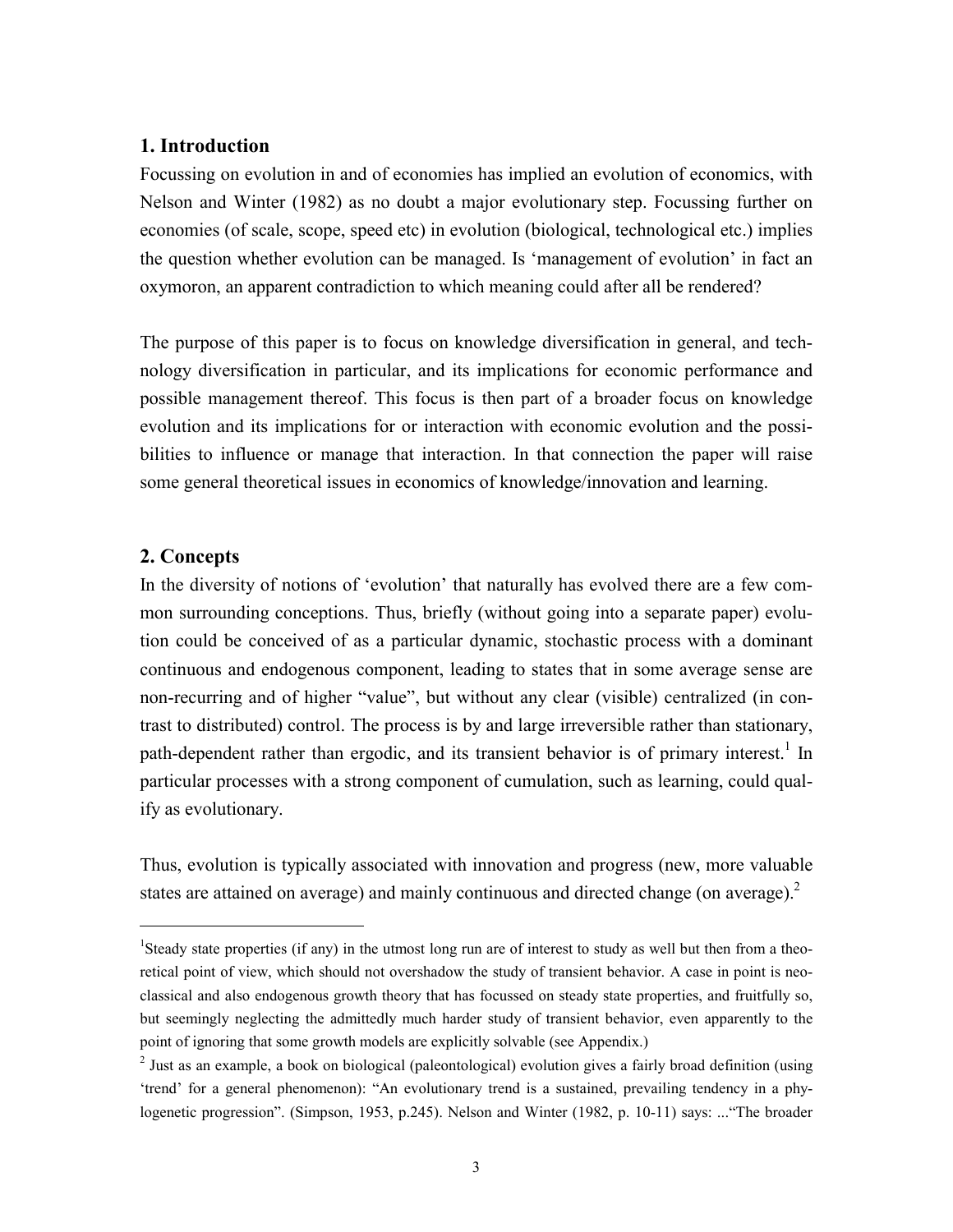## **1. Introduction**

Focussing on evolution in and of economies has implied an evolution of economics, with Nelson and Winter (1982) as no doubt a major evolutionary step. Focussing further on economies (of scale, scope, speed etc) in evolution (biological, technological etc.) implies the question whether evolution can be managed. Is 'management of evolution' in fact an oxymoron, an apparent contradiction to which meaning could after all be rendered?

The purpose of this paper is to focus on knowledge diversification in general, and technology diversification in particular, and its implications for economic performance and possible management thereof. This focus is then part of a broader focus on knowledge evolution and its implications for or interaction with economic evolution and the possibilities to influence or manage that interaction. In that connection the paper will raise some general theoretical issues in economics of knowledge/innovation and learning.

# **2. Concepts**

1

In the diversity of notions of 'evolution' that naturally has evolved there are a few common surrounding conceptions. Thus, briefly (without going into a separate paper) evolution could be conceived of as a particular dynamic, stochastic process with a dominant continuous and endogenous component, leading to states that in some average sense are non-recurring and of higher "value", but without any clear (visible) centralized (in contrast to distributed) control. The process is by and large irreversible rather than stationary, path-dependent rather than ergodic, and its transient behavior is of primary interest.<sup>1</sup> In particular processes with a strong component of cumulation, such as learning, could qualify as evolutionary.

Thus, evolution is typically associated with innovation and progress (new, more valuable states are attained on average) and mainly continuous and directed change (on average). $2$ 

<sup>&</sup>lt;sup>1</sup>Steady state properties (if any) in the utmost long run are of interest to study as well but then from a theoretical point of view, which should not overshadow the study of transient behavior. A case in point is neoclassical and also endogenous growth theory that has focussed on steady state properties, and fruitfully so, but seemingly neglecting the admittedly much harder study of transient behavior, even apparently to the point of ignoring that some growth models are explicitly solvable (see Appendix.)

 $2$  Just as an example, a book on biological (paleontological) evolution gives a fairly broad definition (using 'trend' for a general phenomenon): "An evolutionary trend is a sustained, prevailing tendency in a phylogenetic progression". (Simpson, 1953, p.245). Nelson and Winter (1982, p. 10-11) says: ..."The broader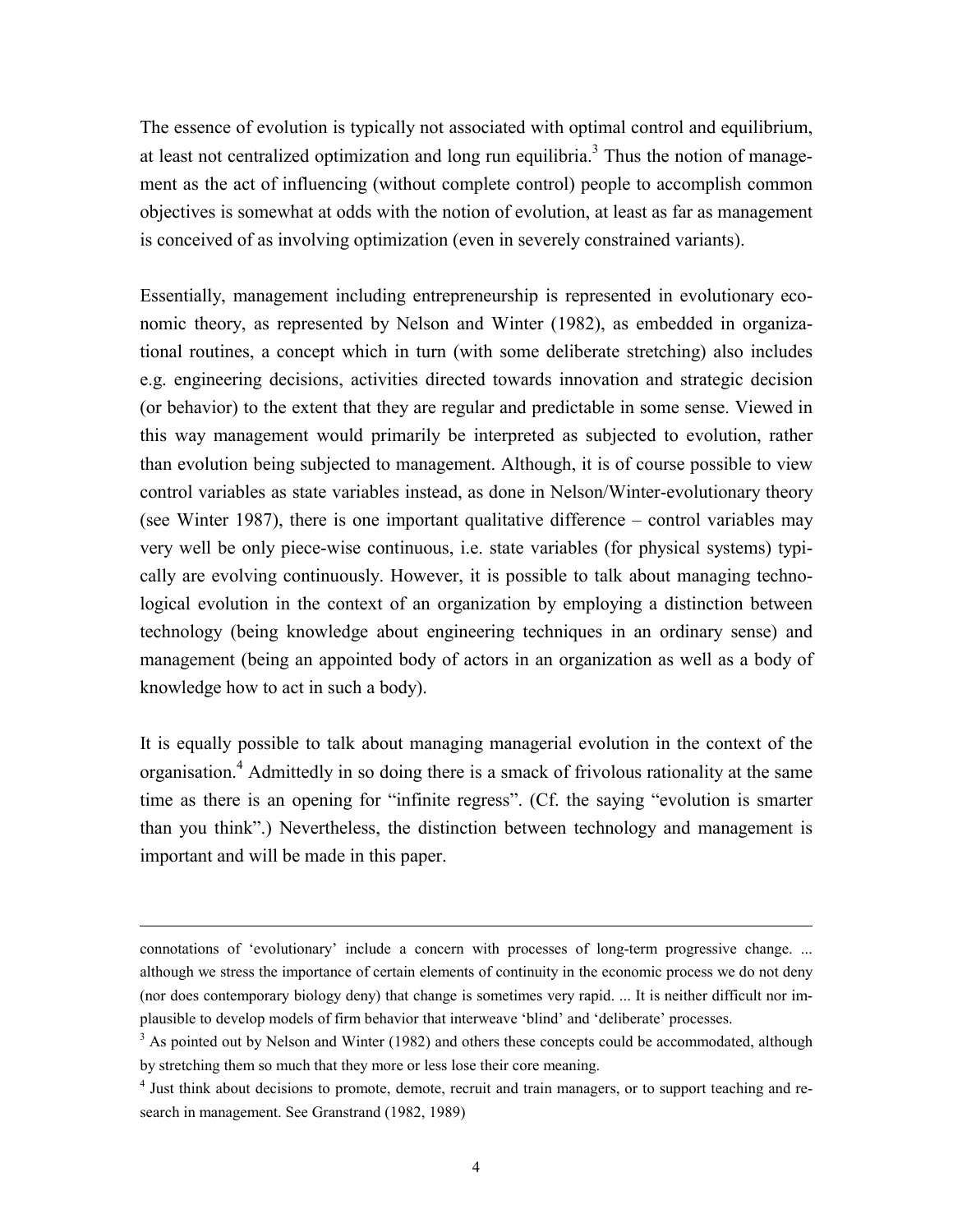The essence of evolution is typically not associated with optimal control and equilibrium, at least not centralized optimization and long run equilibria.<sup>3</sup> Thus the notion of management as the act of influencing (without complete control) people to accomplish common objectives is somewhat at odds with the notion of evolution, at least as far as management is conceived of as involving optimization (even in severely constrained variants).

Essentially, management including entrepreneurship is represented in evolutionary economic theory, as represented by Nelson and Winter (1982), as embedded in organizational routines, a concept which in turn (with some deliberate stretching) also includes e.g. engineering decisions, activities directed towards innovation and strategic decision (or behavior) to the extent that they are regular and predictable in some sense. Viewed in this way management would primarily be interpreted as subjected to evolution, rather than evolution being subjected to management. Although, it is of course possible to view control variables as state variables instead, as done in Nelson/Winter-evolutionary theory (see Winter 1987), there is one important qualitative difference – control variables may very well be only piece-wise continuous, i.e. state variables (for physical systems) typically are evolving continuously. However, it is possible to talk about managing technological evolution in the context of an organization by employing a distinction between technology (being knowledge about engineering techniques in an ordinary sense) and management (being an appointed body of actors in an organization as well as a body of knowledge how to act in such a body).

It is equally possible to talk about managing managerial evolution in the context of the organisation.<sup>4</sup> Admittedly in so doing there is a smack of frivolous rationality at the same time as there is an opening for "infinite regress". (Cf. the saying "evolution is smarter than you think".) Nevertheless, the distinction between technology and management is important and will be made in this paper.

connotations of 'evolutionary' include a concern with processes of long-term progressive change. ... although we stress the importance of certain elements of continuity in the economic process we do not deny (nor does contemporary biology deny) that change is sometimes very rapid. ... It is neither difficult nor implausible to develop models of firm behavior that interweave 'blind' and 'deliberate' processes.

 $3$  As pointed out by Nelson and Winter (1982) and others these concepts could be accommodated, although by stretching them so much that they more or less lose their core meaning.

<sup>&</sup>lt;sup>4</sup> Just think about decisions to promote, demote, recruit and train managers, or to support teaching and research in management. See Granstrand (1982, 1989)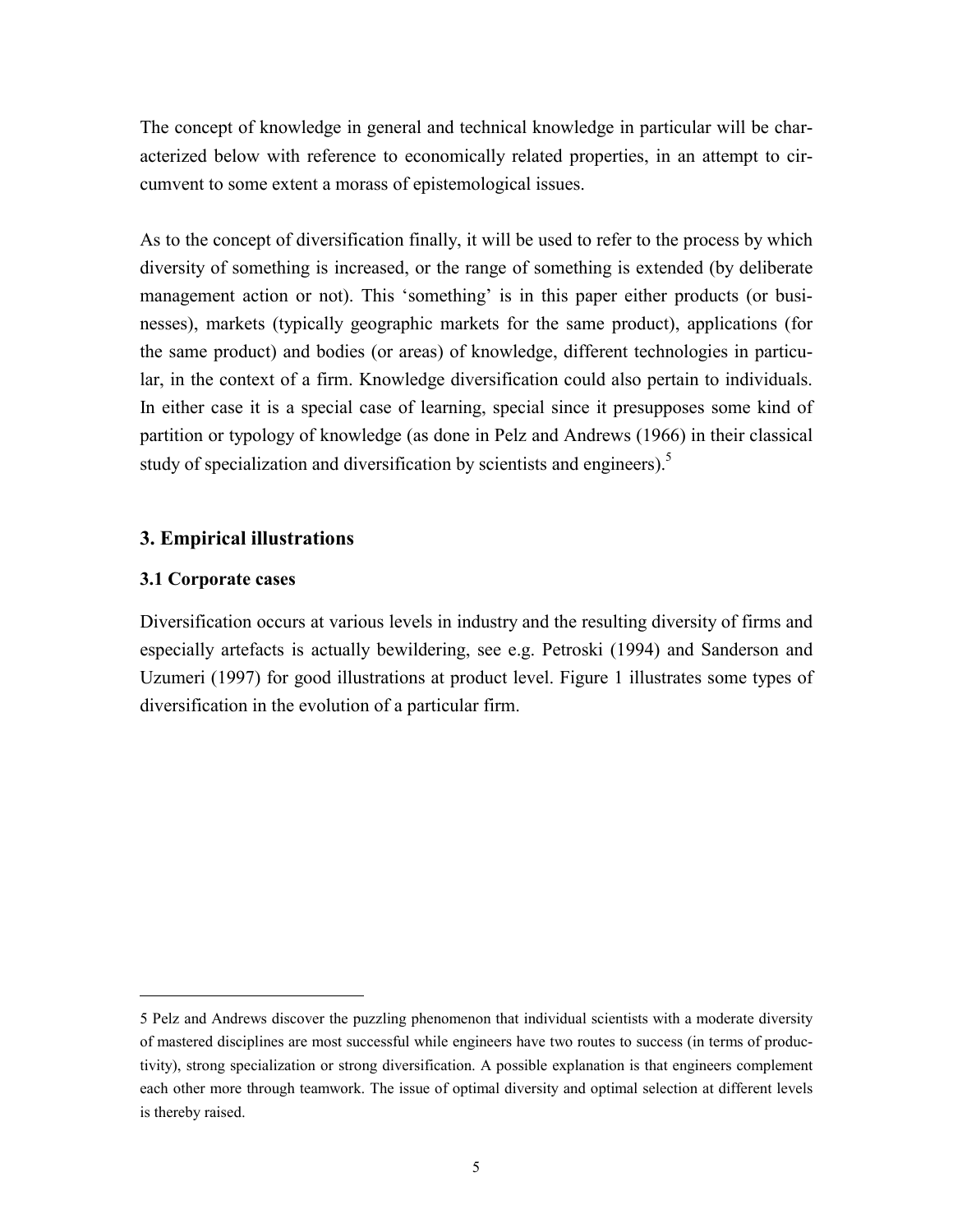The concept of knowledge in general and technical knowledge in particular will be characterized below with reference to economically related properties, in an attempt to circumvent to some extent a morass of epistemological issues.

As to the concept of diversification finally, it will be used to refer to the process by which diversity of something is increased, or the range of something is extended (by deliberate management action or not). This 'something' is in this paper either products (or businesses), markets (typically geographic markets for the same product), applications (for the same product) and bodies (or areas) of knowledge, different technologies in particular, in the context of a firm. Knowledge diversification could also pertain to individuals. In either case it is a special case of learning, special since it presupposes some kind of partition or typology of knowledge (as done in Pelz and Andrews (1966) in their classical study of specialization and diversification by scientists and engineers).<sup>5</sup>

# **3. Empirical illustrations**

#### **3.1 Corporate cases**

1

Diversification occurs at various levels in industry and the resulting diversity of firms and especially artefacts is actually bewildering, see e.g. Petroski (1994) and Sanderson and Uzumeri (1997) for good illustrations at product level. Figure 1 illustrates some types of diversification in the evolution of a particular firm.

<sup>5</sup> Pelz and Andrews discover the puzzling phenomenon that individual scientists with a moderate diversity of mastered disciplines are most successful while engineers have two routes to success (in terms of productivity), strong specialization or strong diversification. A possible explanation is that engineers complement each other more through teamwork. The issue of optimal diversity and optimal selection at different levels is thereby raised.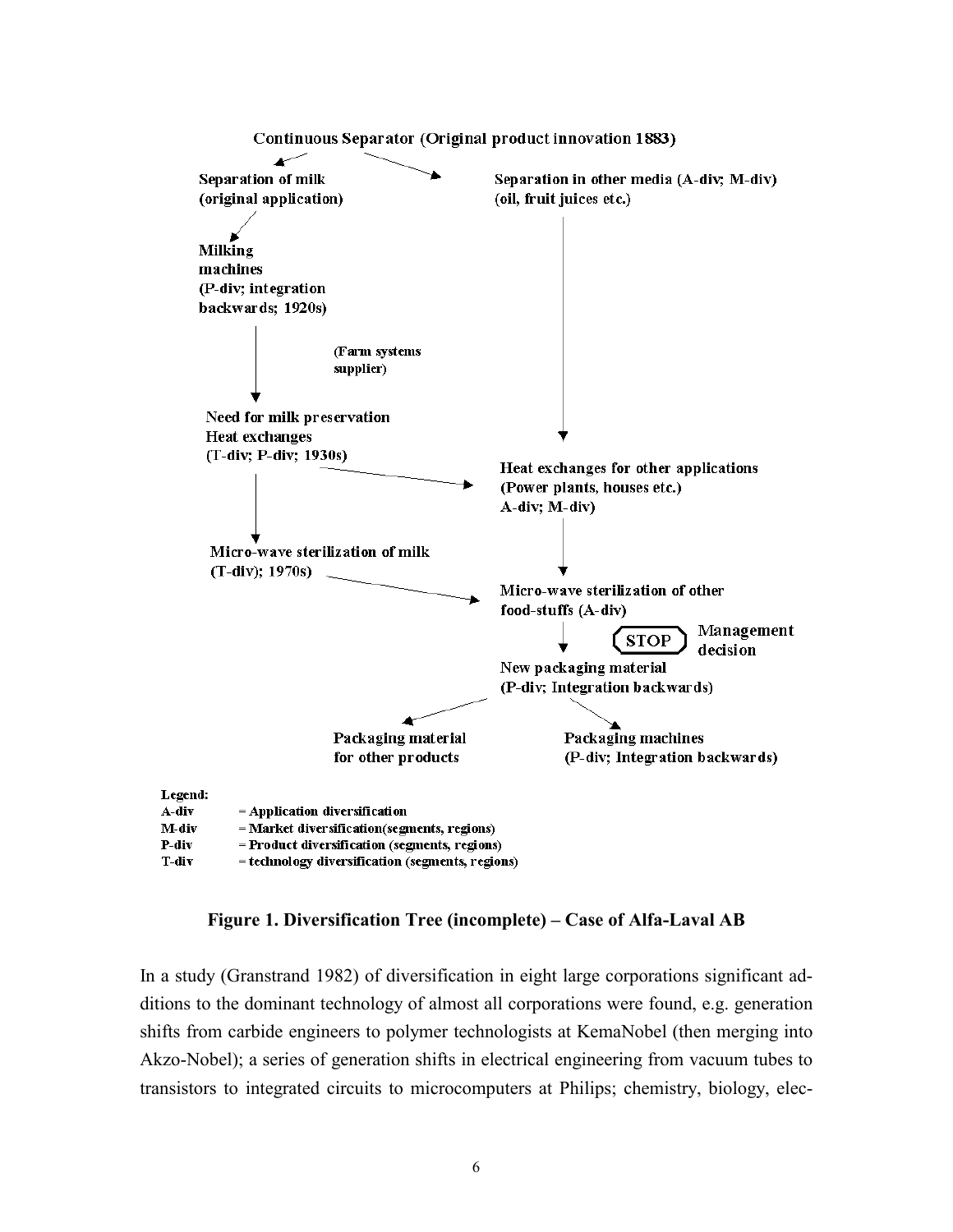

**Figure 1. Diversification Tree (incomplete) – Case of Alfa-Laval AB** 

In a study (Granstrand 1982) of diversification in eight large corporations significant additions to the dominant technology of almost all corporations were found, e.g. generation shifts from carbide engineers to polymer technologists at KemaNobel (then merging into Akzo-Nobel); a series of generation shifts in electrical engineering from vacuum tubes to transistors to integrated circuits to microcomputers at Philips; chemistry, biology, elec-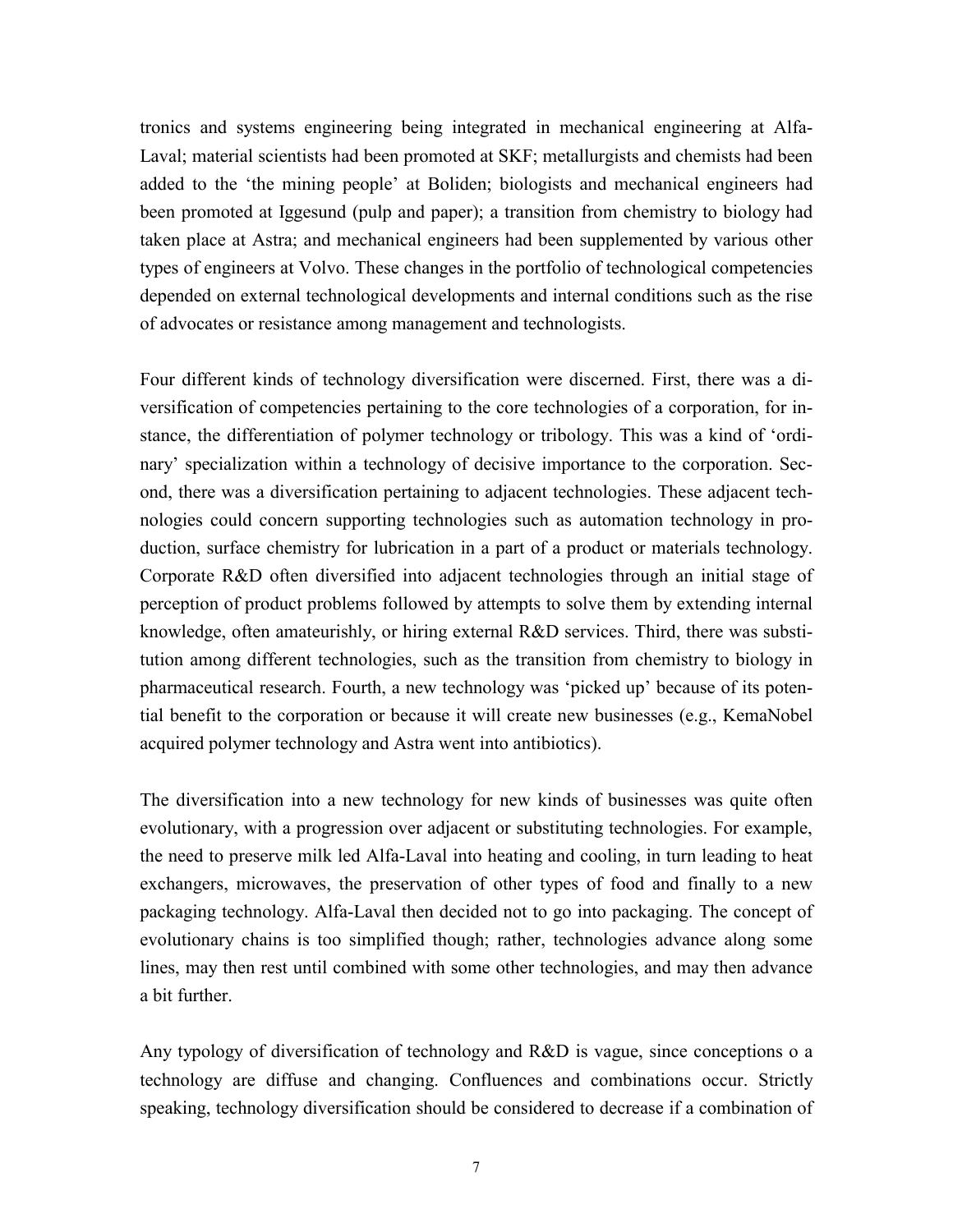tronics and systems engineering being integrated in mechanical engineering at Alfa-Laval; material scientists had been promoted at SKF; metallurgists and chemists had been added to the 'the mining people' at Boliden; biologists and mechanical engineers had been promoted at Iggesund (pulp and paper); a transition from chemistry to biology had taken place at Astra; and mechanical engineers had been supplemented by various other types of engineers at Volvo. These changes in the portfolio of technological competencies depended on external technological developments and internal conditions such as the rise of advocates or resistance among management and technologists.

Four different kinds of technology diversification were discerned. First, there was a diversification of competencies pertaining to the core technologies of a corporation, for instance, the differentiation of polymer technology or tribology. This was a kind of 'ordinary' specialization within a technology of decisive importance to the corporation. Second, there was a diversification pertaining to adjacent technologies. These adjacent technologies could concern supporting technologies such as automation technology in production, surface chemistry for lubrication in a part of a product or materials technology. Corporate R&D often diversified into adjacent technologies through an initial stage of perception of product problems followed by attempts to solve them by extending internal knowledge, often amateurishly, or hiring external R&D services. Third, there was substitution among different technologies, such as the transition from chemistry to biology in pharmaceutical research. Fourth, a new technology was 'picked up' because of its potential benefit to the corporation or because it will create new businesses (e.g., KemaNobel acquired polymer technology and Astra went into antibiotics).

The diversification into a new technology for new kinds of businesses was quite often evolutionary, with a progression over adjacent or substituting technologies. For example, the need to preserve milk led Alfa-Laval into heating and cooling, in turn leading to heat exchangers, microwaves, the preservation of other types of food and finally to a new packaging technology. Alfa-Laval then decided not to go into packaging. The concept of evolutionary chains is too simplified though; rather, technologies advance along some lines, may then rest until combined with some other technologies, and may then advance a bit further.

Any typology of diversification of technology and R&D is vague, since conceptions o a technology are diffuse and changing. Confluences and combinations occur. Strictly speaking, technology diversification should be considered to decrease if a combination of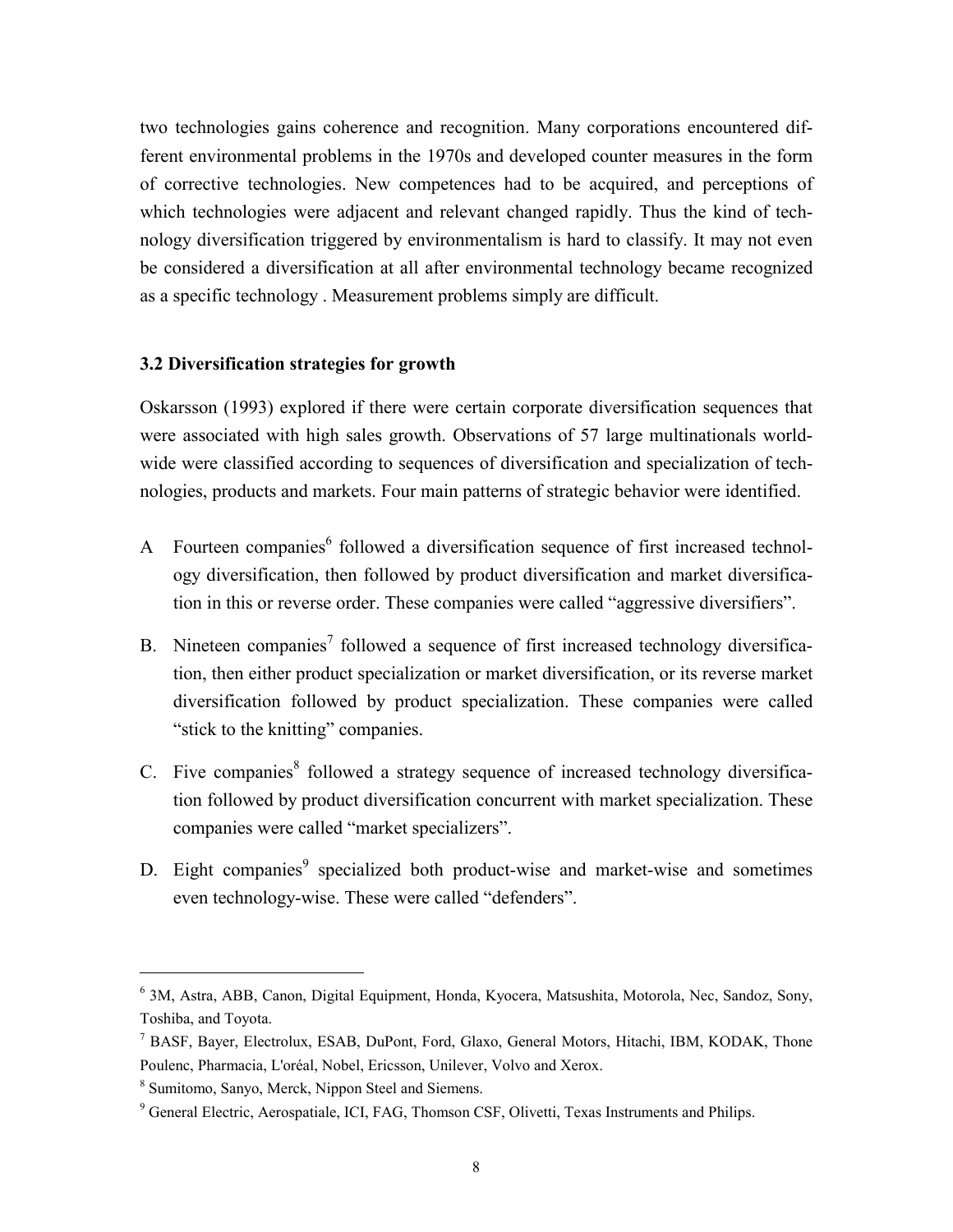two technologies gains coherence and recognition. Many corporations encountered different environmental problems in the 1970s and developed counter measures in the form of corrective technologies. New competences had to be acquired, and perceptions of which technologies were adjacent and relevant changed rapidly. Thus the kind of technology diversification triggered by environmentalism is hard to classify. It may not even be considered a diversification at all after environmental technology became recognized as a specific technology . Measurement problems simply are difficult.

#### **3.2 Diversification strategies for growth**

Oskarsson (1993) explored if there were certain corporate diversification sequences that were associated with high sales growth. Observations of 57 large multinationals worldwide were classified according to sequences of diversification and specialization of technologies, products and markets. Four main patterns of strategic behavior were identified.

- A Fourteen companies<sup>6</sup> followed a diversification sequence of first increased technology diversification, then followed by product diversification and market diversification in this or reverse order. These companies were called "aggressive diversifiers".
- B. Nineteen companies<sup>7</sup> followed a sequence of first increased technology diversification, then either product specialization or market diversification, or its reverse market diversification followed by product specialization. These companies were called "stick to the knitting" companies.
- C. Five companies<sup>8</sup> followed a strategy sequence of increased technology diversification followed by product diversification concurrent with market specialization. These companies were called "market specializers".
- D. Eight companies<sup>9</sup> specialized both product-wise and market-wise and sometimes even technology-wise. These were called "defenders".

<sup>6</sup> 3M, Astra, ABB, Canon, Digital Equipment, Honda, Kyocera, Matsushita, Motorola, Nec, Sandoz, Sony, Toshiba, and Toyota.

<sup>7</sup> BASF, Bayer, Electrolux, ESAB, DuPont, Ford, Glaxo, General Motors, Hitachi, IBM, KODAK, Thone Poulenc, Pharmacia, L'oréal, Nobel, Ericsson, Unilever, Volvo and Xerox.

<sup>8</sup> Sumitomo, Sanyo, Merck, Nippon Steel and Siemens.

<sup>&</sup>lt;sup>9</sup> General Electric, Aerospatiale, ICI, FAG, Thomson CSF, Olivetti, Texas Instruments and Philips.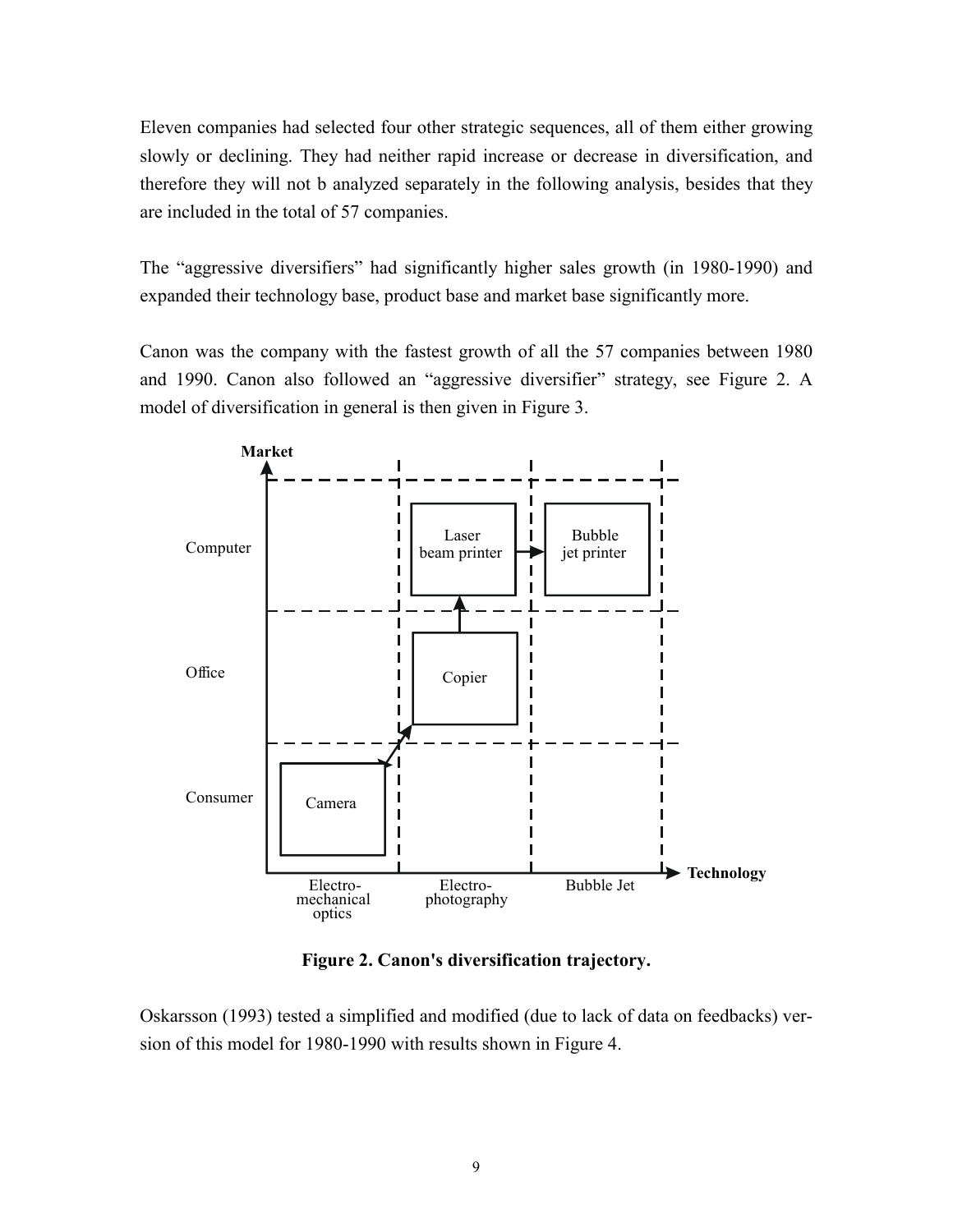Eleven companies had selected four other strategic sequences, all of them either growing slowly or declining. They had neither rapid increase or decrease in diversification, and therefore they will not b analyzed separately in the following analysis, besides that they are included in the total of 57 companies.

The "aggressive diversifiers" had significantly higher sales growth (in 1980-1990) and expanded their technology base, product base and market base significantly more.

Canon was the company with the fastest growth of all the 57 companies between 1980 and 1990. Canon also followed an "aggressive diversifier" strategy, see Figure 2. A model of diversification in general is then given in Figure 3.



**Figure 2. Canon's diversification trajectory.** 

Oskarsson (1993) tested a simplified and modified (due to lack of data on feedbacks) version of this model for 1980-1990 with results shown in Figure 4.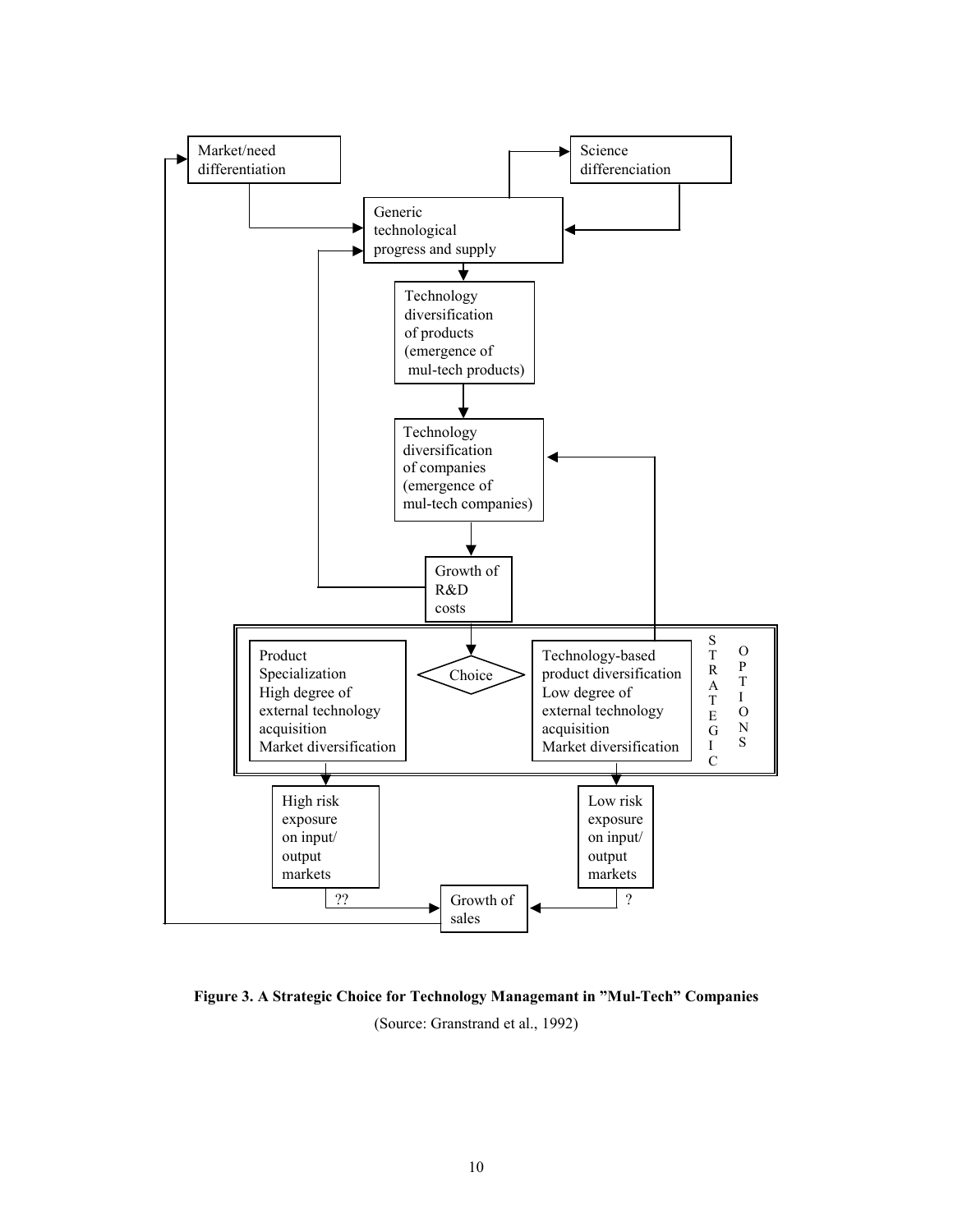

**Figure 3. A Strategic Choice for Technology Managemant in "Mul-Tech" Companies**  (Source: Granstrand et al., 1992)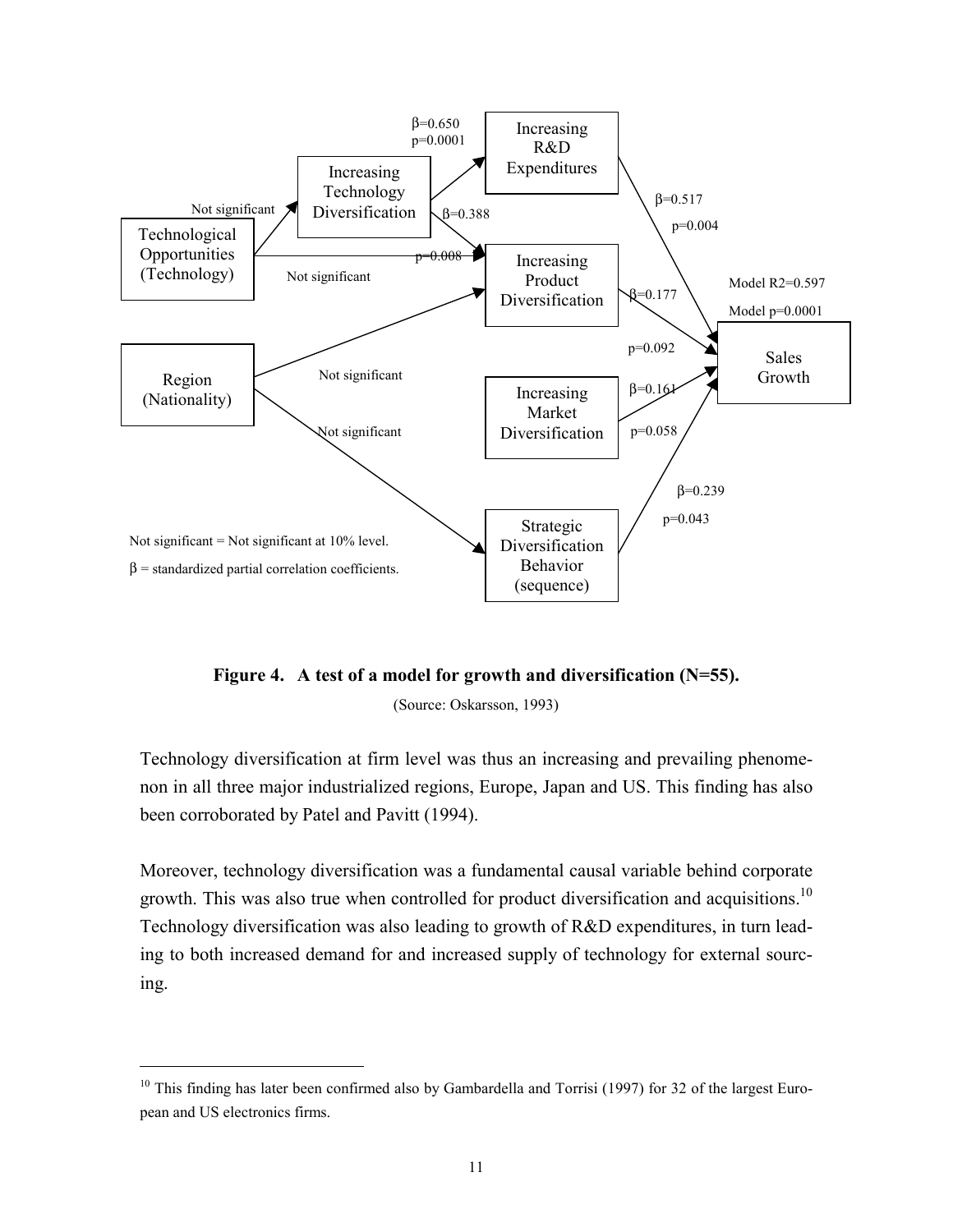

**Figure 4. A test of a model for growth and diversification (N=55).** 

(Source: Oskarsson, 1993)

Technology diversification at firm level was thus an increasing and prevailing phenomenon in all three major industrialized regions, Europe, Japan and US. This finding has also been corroborated by Patel and Pavitt (1994).

Moreover, technology diversification was a fundamental causal variable behind corporate growth. This was also true when controlled for product diversification and acquisitions.<sup>10</sup> Technology diversification was also leading to growth of R&D expenditures, in turn leading to both increased demand for and increased supply of technology for external sourcing.

<sup>&</sup>lt;sup>10</sup> This finding has later been confirmed also by Gambardella and Torrisi (1997) for 32 of the largest European and US electronics firms.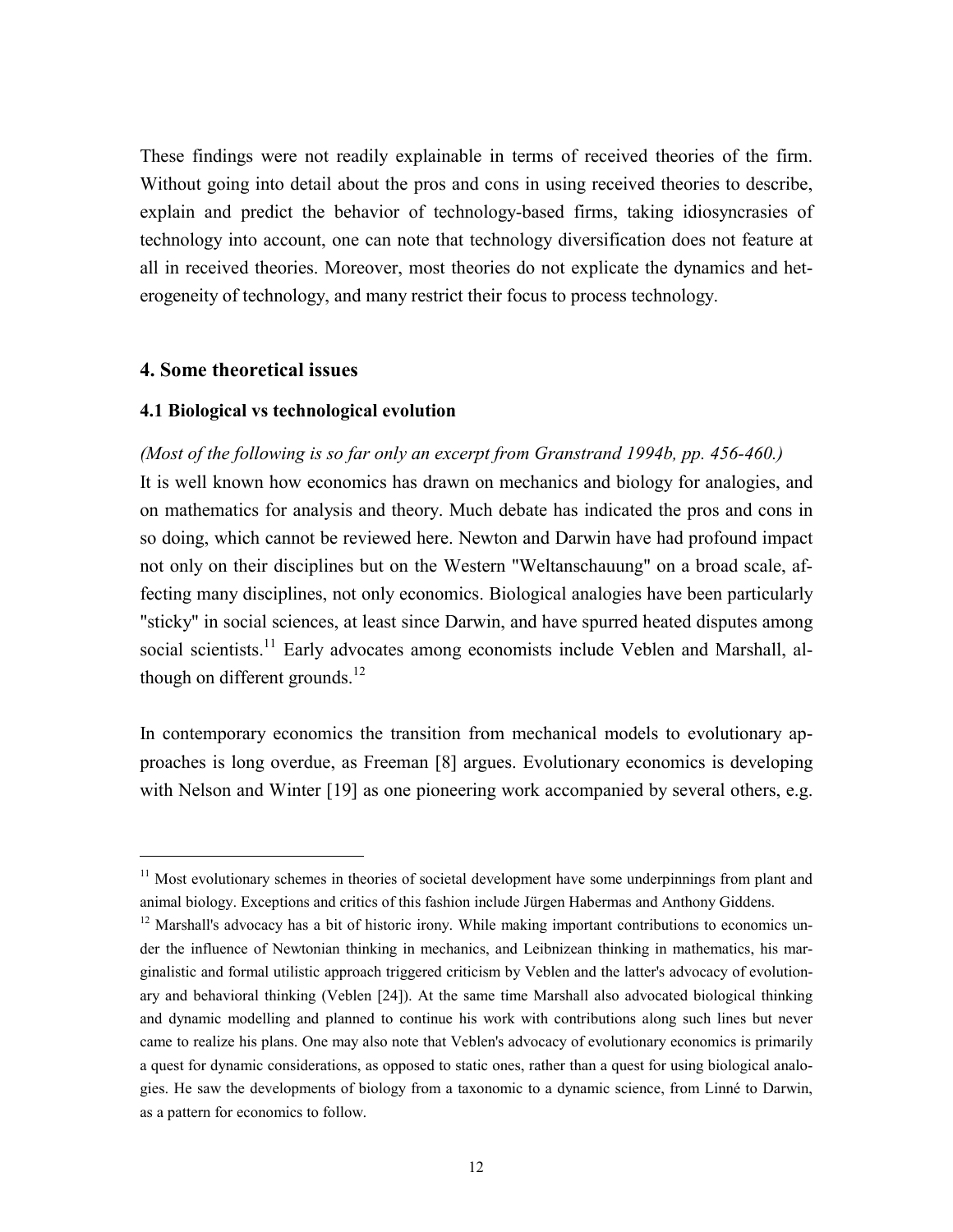These findings were not readily explainable in terms of received theories of the firm. Without going into detail about the pros and cons in using received theories to describe, explain and predict the behavior of technology-based firms, taking idiosyncrasies of technology into account, one can note that technology diversification does not feature at all in received theories. Moreover, most theories do not explicate the dynamics and heterogeneity of technology, and many restrict their focus to process technology.

#### **4. Some theoretical issues**

1

#### **4.1 Biological vs technological evolution**

*(Most of the following is so far only an excerpt from Granstrand 1994b, pp. 456-460.)*  It is well known how economics has drawn on mechanics and biology for analogies, and on mathematics for analysis and theory. Much debate has indicated the pros and cons in so doing, which cannot be reviewed here. Newton and Darwin have had profound impact not only on their disciplines but on the Western "Weltanschauung" on a broad scale, affecting many disciplines, not only economics. Biological analogies have been particularly "sticky" in social sciences, at least since Darwin, and have spurred heated disputes among social scientists.<sup>11</sup> Early advocates among economists include Veblen and Marshall, although on different grounds. $^{12}$ 

In contemporary economics the transition from mechanical models to evolutionary approaches is long overdue, as Freeman [8] argues. Evolutionary economics is developing with Nelson and Winter [19] as one pioneering work accompanied by several others, e.g.

<sup>&</sup>lt;sup>11</sup> Most evolutionary schemes in theories of societal development have some underpinnings from plant and animal biology. Exceptions and critics of this fashion include Jürgen Habermas and Anthony Giddens.

<sup>&</sup>lt;sup>12</sup> Marshall's advocacy has a bit of historic irony. While making important contributions to economics under the influence of Newtonian thinking in mechanics, and Leibnizean thinking in mathematics, his marginalistic and formal utilistic approach triggered criticism by Veblen and the latter's advocacy of evolutionary and behavioral thinking (Veblen [24]). At the same time Marshall also advocated biological thinking and dynamic modelling and planned to continue his work with contributions along such lines but never came to realize his plans. One may also note that Veblen's advocacy of evolutionary economics is primarily a quest for dynamic considerations, as opposed to static ones, rather than a quest for using biological analogies. He saw the developments of biology from a taxonomic to a dynamic science, from Linné to Darwin, as a pattern for economics to follow.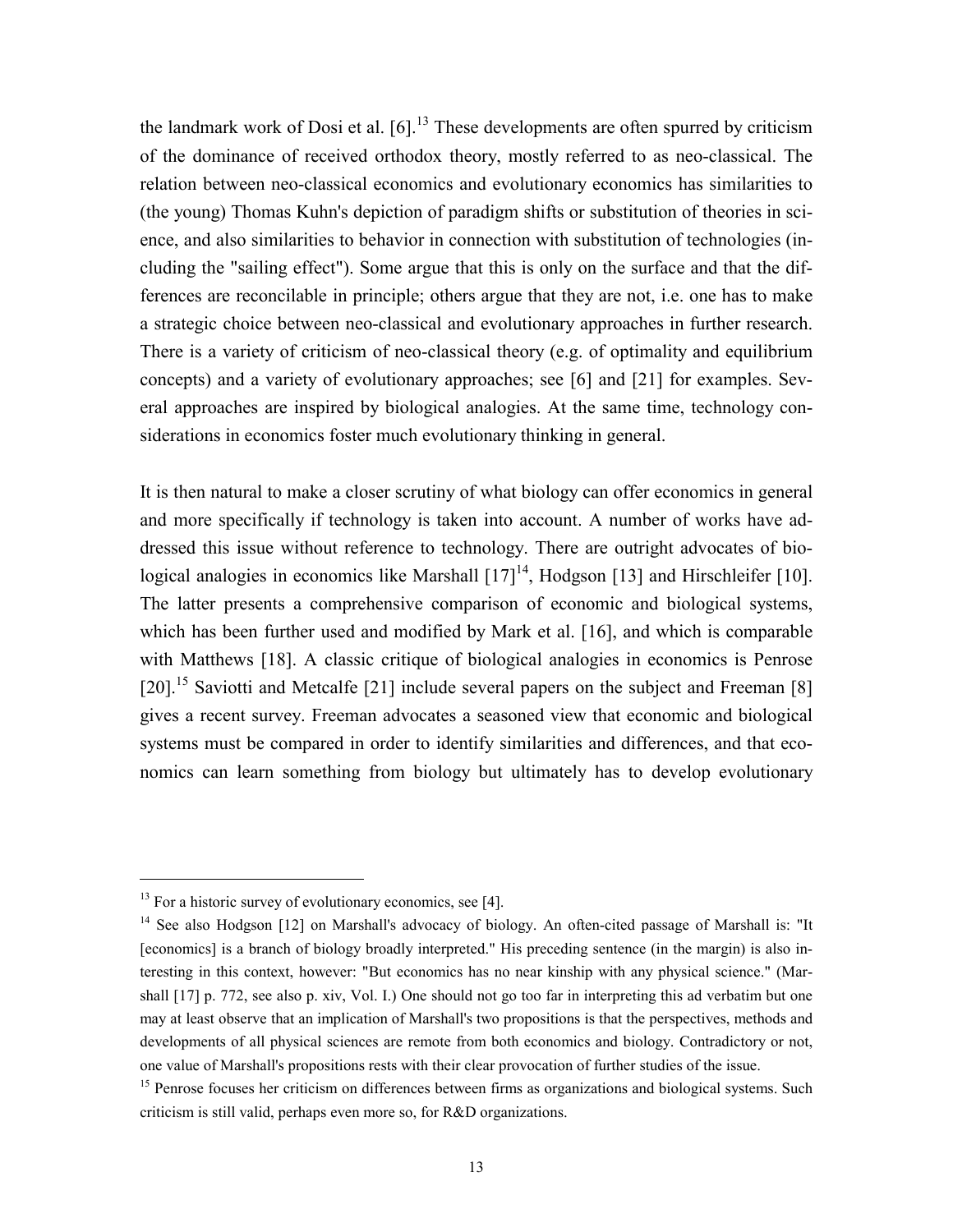the landmark work of Dosi et al.  $[6]$ <sup>13</sup>. These developments are often spurred by criticism of the dominance of received orthodox theory, mostly referred to as neo-classical. The relation between neo-classical economics and evolutionary economics has similarities to (the young) Thomas Kuhn's depiction of paradigm shifts or substitution of theories in science, and also similarities to behavior in connection with substitution of technologies (including the "sailing effect"). Some argue that this is only on the surface and that the differences are reconcilable in principle; others argue that they are not, i.e. one has to make a strategic choice between neo-classical and evolutionary approaches in further research. There is a variety of criticism of neo-classical theory (e.g. of optimality and equilibrium concepts) and a variety of evolutionary approaches; see [6] and [21] for examples. Several approaches are inspired by biological analogies. At the same time, technology considerations in economics foster much evolutionary thinking in general.

It is then natural to make a closer scrutiny of what biology can offer economics in general and more specifically if technology is taken into account. A number of works have addressed this issue without reference to technology. There are outright advocates of biological analogies in economics like Marshall  $[17]^{14}$ , Hodgson [13] and Hirschleifer [10]. The latter presents a comprehensive comparison of economic and biological systems, which has been further used and modified by Mark et al. [16], and which is comparable with Matthews [18]. A classic critique of biological analogies in economics is Penrose [20].<sup>15</sup> Saviotti and Metcalfe [21] include several papers on the subject and Freeman [8] gives a recent survey. Freeman advocates a seasoned view that economic and biological systems must be compared in order to identify similarities and differences, and that economics can learn something from biology but ultimately has to develop evolutionary

 $13$  For a historic survey of evolutionary economics, see [4].

<sup>&</sup>lt;sup>14</sup> See also Hodgson [12] on Marshall's advocacy of biology. An often-cited passage of Marshall is: "It [economics] is a branch of biology broadly interpreted." His preceding sentence (in the margin) is also interesting in this context, however: "But economics has no near kinship with any physical science." (Marshall [17] p. 772, see also p. xiv, Vol. I.) One should not go too far in interpreting this ad verbatim but one may at least observe that an implication of Marshall's two propositions is that the perspectives, methods and developments of all physical sciences are remote from both economics and biology. Contradictory or not, one value of Marshall's propositions rests with their clear provocation of further studies of the issue.

<sup>&</sup>lt;sup>15</sup> Penrose focuses her criticism on differences between firms as organizations and biological systems. Such criticism is still valid, perhaps even more so, for R&D organizations.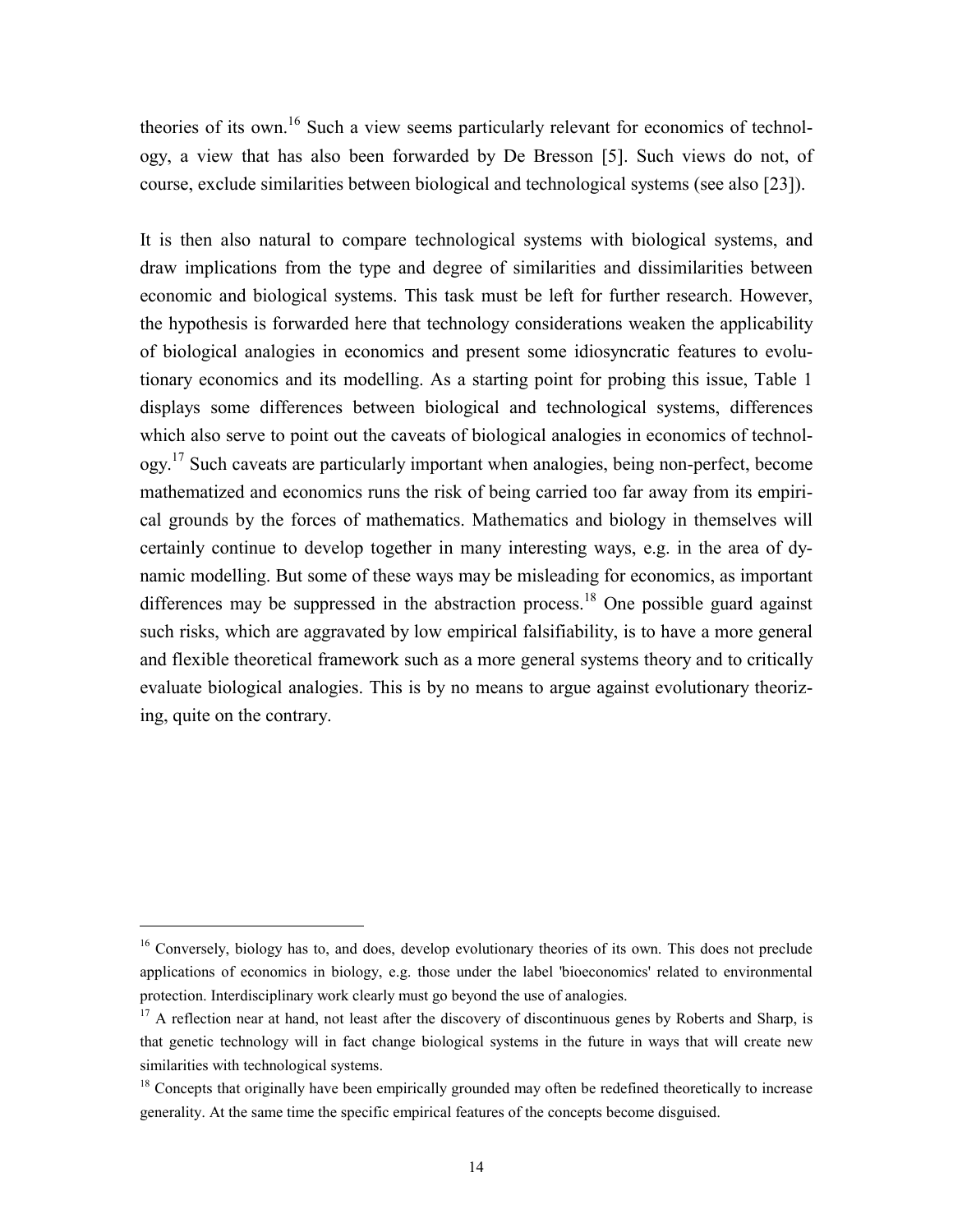theories of its own.<sup>16</sup> Such a view seems particularly relevant for economics of technology, a view that has also been forwarded by De Bresson [5]. Such views do not, of course, exclude similarities between biological and technological systems (see also [23]).

It is then also natural to compare technological systems with biological systems, and draw implications from the type and degree of similarities and dissimilarities between economic and biological systems. This task must be left for further research. However, the hypothesis is forwarded here that technology considerations weaken the applicability of biological analogies in economics and present some idiosyncratic features to evolutionary economics and its modelling. As a starting point for probing this issue, Table 1 displays some differences between biological and technological systems, differences which also serve to point out the caveats of biological analogies in economics of technology.<sup>17</sup> Such caveats are particularly important when analogies, being non-perfect, become mathematized and economics runs the risk of being carried too far away from its empirical grounds by the forces of mathematics. Mathematics and biology in themselves will certainly continue to develop together in many interesting ways, e.g. in the area of dynamic modelling. But some of these ways may be misleading for economics, as important differences may be suppressed in the abstraction process.<sup>18</sup> One possible guard against such risks, which are aggravated by low empirical falsifiability, is to have a more general and flexible theoretical framework such as a more general systems theory and to critically evaluate biological analogies. This is by no means to argue against evolutionary theorizing, quite on the contrary.

<sup>&</sup>lt;sup>16</sup> Conversely, biology has to, and does, develop evolutionary theories of its own. This does not preclude applications of economics in biology, e.g. those under the label 'bioeconomics' related to environmental protection. Interdisciplinary work clearly must go beyond the use of analogies.

<sup>&</sup>lt;sup>17</sup> A reflection near at hand, not least after the discovery of discontinuous genes by Roberts and Sharp, is that genetic technology will in fact change biological systems in the future in ways that will create new similarities with technological systems.

<sup>&</sup>lt;sup>18</sup> Concepts that originally have been empirically grounded may often be redefined theoretically to increase generality. At the same time the specific empirical features of the concepts become disguised.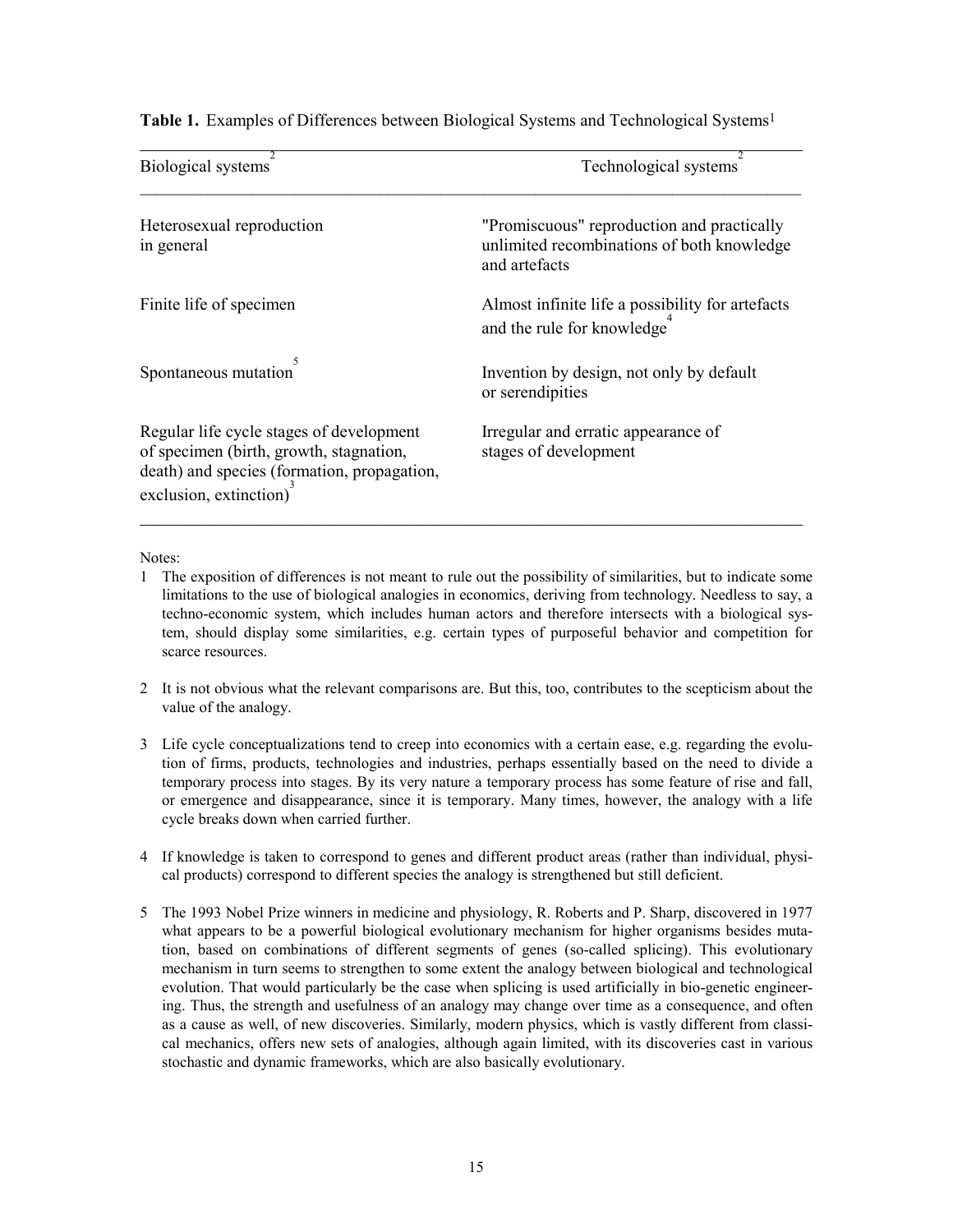| Biological systems                                                                                                                                           | Technological systems                                                                                     |
|--------------------------------------------------------------------------------------------------------------------------------------------------------------|-----------------------------------------------------------------------------------------------------------|
| Heterosexual reproduction<br>in general                                                                                                                      | "Promiscuous" reproduction and practically<br>unlimited recombinations of both knowledge<br>and artefacts |
| Finite life of specimen                                                                                                                                      | Almost infinite life a possibility for artefacts<br>and the rule for knowledge                            |
| Spontaneous mutation                                                                                                                                         | Invention by design, not only by default<br>or serendipities                                              |
| Regular life cycle stages of development<br>of specimen (birth, growth, stagnation,<br>death) and species (formation, propagation,<br>exclusion, extinction) | Irregular and erratic appearance of<br>stages of development                                              |

Table 1. Examples of Differences between Biological Systems and Technological Systems<sup>1</sup>

 $\_$  , and the contribution of the contribution of  $\mathcal{L}_\mathcal{A}$  , and the contribution of  $\mathcal{L}_\mathcal{A}$ 

Notes:

- 1 The exposition of differences is not meant to rule out the possibility of similarities, but to indicate some limitations to the use of biological analogies in economics, deriving from technology. Needless to say, a techno-economic system, which includes human actors and therefore intersects with a biological system, should display some similarities, e.g. certain types of purposeful behavior and competition for scarce resources.
- 2 It is not obvious what the relevant comparisons are. But this, too, contributes to the scepticism about the value of the analogy.
- 3 Life cycle conceptualizations tend to creep into economics with a certain ease, e.g. regarding the evolution of firms, products, technologies and industries, perhaps essentially based on the need to divide a temporary process into stages. By its very nature a temporary process has some feature of rise and fall, or emergence and disappearance, since it is temporary. Many times, however, the analogy with a life cycle breaks down when carried further.
- 4 If knowledge is taken to correspond to genes and different product areas (rather than individual, physical products) correspond to different species the analogy is strengthened but still deficient.
- 5 The 1993 Nobel Prize winners in medicine and physiology, R. Roberts and P. Sharp, discovered in 1977 what appears to be a powerful biological evolutionary mechanism for higher organisms besides mutation, based on combinations of different segments of genes (so-called splicing). This evolutionary mechanism in turn seems to strengthen to some extent the analogy between biological and technological evolution. That would particularly be the case when splicing is used artificially in bio-genetic engineering. Thus, the strength and usefulness of an analogy may change over time as a consequence, and often as a cause as well, of new discoveries. Similarly, modern physics, which is vastly different from classical mechanics, offers new sets of analogies, although again limited, with its discoveries cast in various stochastic and dynamic frameworks, which are also basically evolutionary.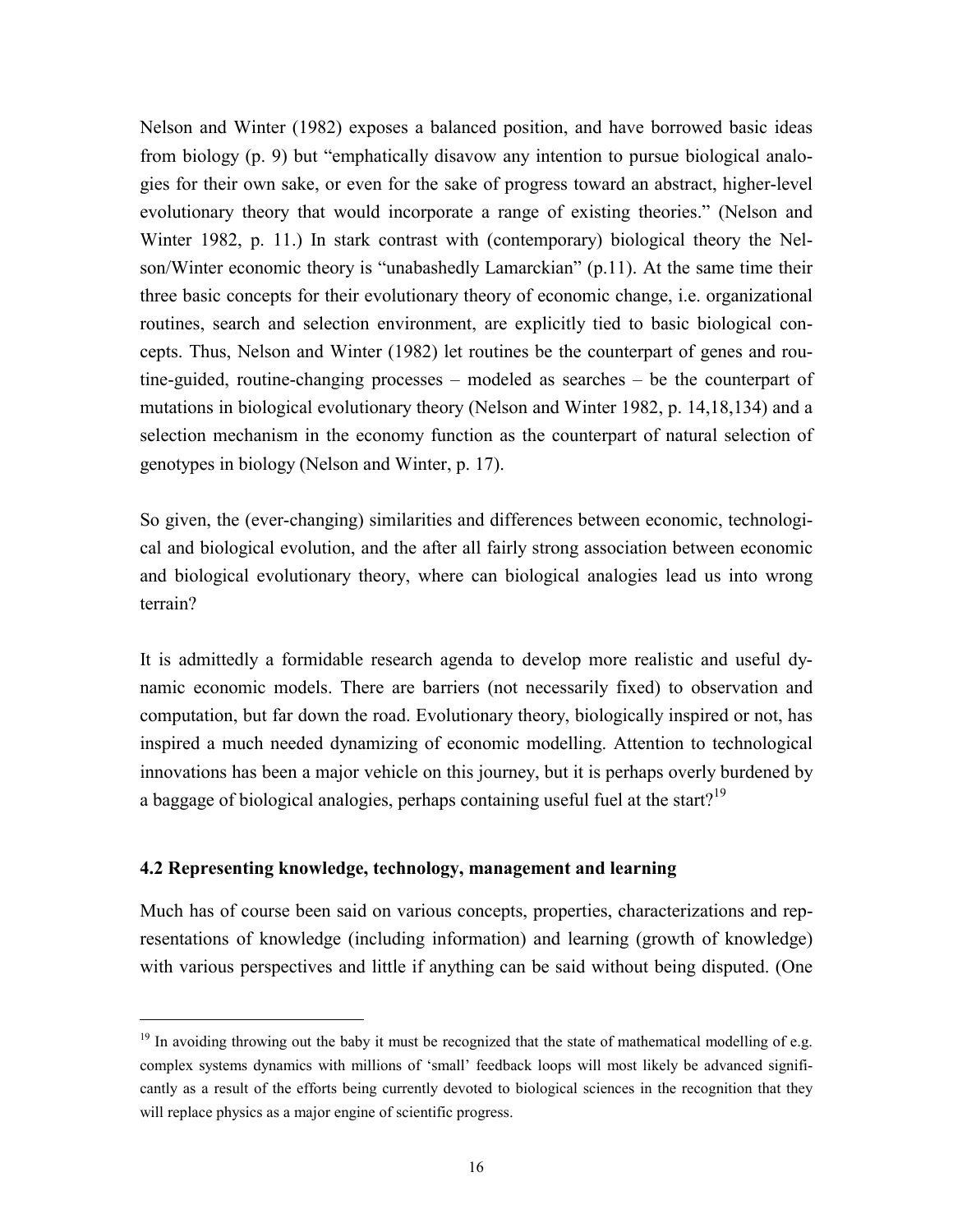Nelson and Winter (1982) exposes a balanced position, and have borrowed basic ideas from biology (p. 9) but "emphatically disavow any intention to pursue biological analogies for their own sake, or even for the sake of progress toward an abstract, higher-level evolutionary theory that would incorporate a range of existing theories." (Nelson and Winter 1982, p. 11.) In stark contrast with (contemporary) biological theory the Nelson/Winter economic theory is "unabashedly Lamarckian" (p.11). At the same time their three basic concepts for their evolutionary theory of economic change, i.e. organizational routines, search and selection environment, are explicitly tied to basic biological concepts. Thus, Nelson and Winter (1982) let routines be the counterpart of genes and routine-guided, routine-changing processes – modeled as searches – be the counterpart of mutations in biological evolutionary theory (Nelson and Winter 1982, p. 14,18,134) and a selection mechanism in the economy function as the counterpart of natural selection of genotypes in biology (Nelson and Winter, p. 17).

So given, the (ever-changing) similarities and differences between economic, technological and biological evolution, and the after all fairly strong association between economic and biological evolutionary theory, where can biological analogies lead us into wrong terrain?

It is admittedly a formidable research agenda to develop more realistic and useful dynamic economic models. There are barriers (not necessarily fixed) to observation and computation, but far down the road. Evolutionary theory, biologically inspired or not, has inspired a much needed dynamizing of economic modelling. Attention to technological innovations has been a major vehicle on this journey, but it is perhaps overly burdened by a baggage of biological analogies, perhaps containing useful fuel at the start?<sup>19</sup>

#### **4.2 Representing knowledge, technology, management and learning**

1

Much has of course been said on various concepts, properties, characterizations and representations of knowledge (including information) and learning (growth of knowledge) with various perspectives and little if anything can be said without being disputed. (One

<sup>&</sup>lt;sup>19</sup> In avoiding throwing out the baby it must be recognized that the state of mathematical modelling of e.g. complex systems dynamics with millions of 'small' feedback loops will most likely be advanced significantly as a result of the efforts being currently devoted to biological sciences in the recognition that they will replace physics as a major engine of scientific progress.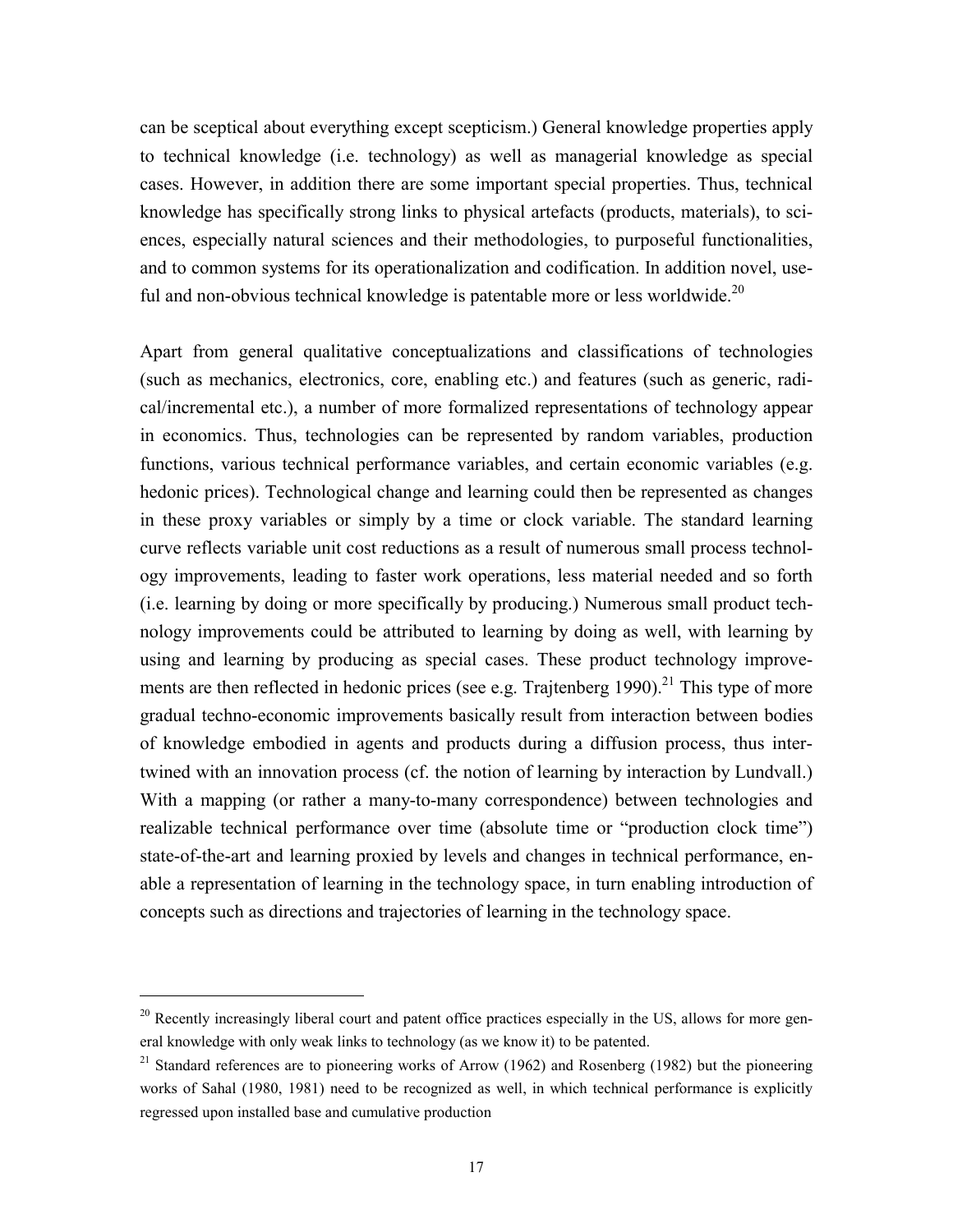can be sceptical about everything except scepticism.) General knowledge properties apply to technical knowledge (i.e. technology) as well as managerial knowledge as special cases. However, in addition there are some important special properties. Thus, technical knowledge has specifically strong links to physical artefacts (products, materials), to sciences, especially natural sciences and their methodologies, to purposeful functionalities, and to common systems for its operationalization and codification. In addition novel, useful and non-obvious technical knowledge is patentable more or less worldwide.<sup>20</sup>

Apart from general qualitative conceptualizations and classifications of technologies (such as mechanics, electronics, core, enabling etc.) and features (such as generic, radical/incremental etc.), a number of more formalized representations of technology appear in economics. Thus, technologies can be represented by random variables, production functions, various technical performance variables, and certain economic variables (e.g. hedonic prices). Technological change and learning could then be represented as changes in these proxy variables or simply by a time or clock variable. The standard learning curve reflects variable unit cost reductions as a result of numerous small process technology improvements, leading to faster work operations, less material needed and so forth (i.e. learning by doing or more specifically by producing.) Numerous small product technology improvements could be attributed to learning by doing as well, with learning by using and learning by producing as special cases. These product technology improvements are then reflected in hedonic prices (see e.g. Trajtenberg  $1990$ ).<sup>21</sup> This type of more gradual techno-economic improvements basically result from interaction between bodies of knowledge embodied in agents and products during a diffusion process, thus intertwined with an innovation process (cf. the notion of learning by interaction by Lundvall.) With a mapping (or rather a many-to-many correspondence) between technologies and realizable technical performance over time (absolute time or "production clock time") state-of-the-art and learning proxied by levels and changes in technical performance, enable a representation of learning in the technology space, in turn enabling introduction of concepts such as directions and trajectories of learning in the technology space.

<sup>&</sup>lt;sup>20</sup> Recently increasingly liberal court and patent office practices especially in the US, allows for more general knowledge with only weak links to technology (as we know it) to be patented.

 $21$  Standard references are to pioneering works of Arrow (1962) and Rosenberg (1982) but the pioneering works of Sahal (1980, 1981) need to be recognized as well, in which technical performance is explicitly regressed upon installed base and cumulative production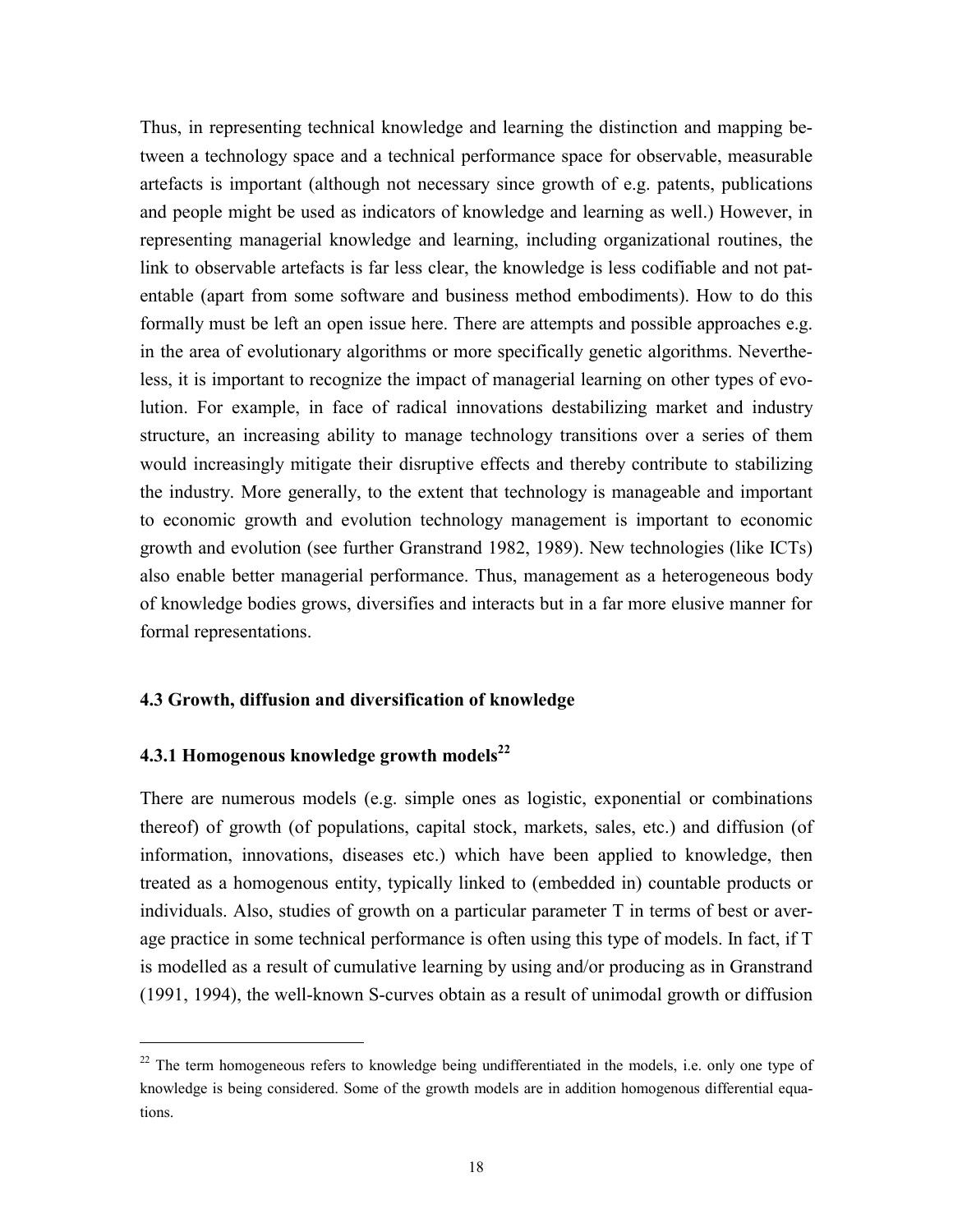Thus, in representing technical knowledge and learning the distinction and mapping between a technology space and a technical performance space for observable, measurable artefacts is important (although not necessary since growth of e.g. patents, publications and people might be used as indicators of knowledge and learning as well.) However, in representing managerial knowledge and learning, including organizational routines, the link to observable artefacts is far less clear, the knowledge is less codifiable and not patentable (apart from some software and business method embodiments). How to do this formally must be left an open issue here. There are attempts and possible approaches e.g. in the area of evolutionary algorithms or more specifically genetic algorithms. Nevertheless, it is important to recognize the impact of managerial learning on other types of evolution. For example, in face of radical innovations destabilizing market and industry structure, an increasing ability to manage technology transitions over a series of them would increasingly mitigate their disruptive effects and thereby contribute to stabilizing the industry. More generally, to the extent that technology is manageable and important to economic growth and evolution technology management is important to economic growth and evolution (see further Granstrand 1982, 1989). New technologies (like ICTs) also enable better managerial performance. Thus, management as a heterogeneous body of knowledge bodies grows, diversifies and interacts but in a far more elusive manner for formal representations.

#### **4.3 Growth, diffusion and diversification of knowledge**

# **4.3.1 Homogenous knowledge growth models<sup>22</sup>**

1

There are numerous models (e.g. simple ones as logistic, exponential or combinations thereof) of growth (of populations, capital stock, markets, sales, etc.) and diffusion (of information, innovations, diseases etc.) which have been applied to knowledge, then treated as a homogenous entity, typically linked to (embedded in) countable products or individuals. Also, studies of growth on a particular parameter T in terms of best or average practice in some technical performance is often using this type of models. In fact, if T is modelled as a result of cumulative learning by using and/or producing as in Granstrand (1991, 1994), the well-known S-curves obtain as a result of unimodal growth or diffusion

<sup>&</sup>lt;sup>22</sup> The term homogeneous refers to knowledge being undifferentiated in the models, i.e. only one type of knowledge is being considered. Some of the growth models are in addition homogenous differential equations.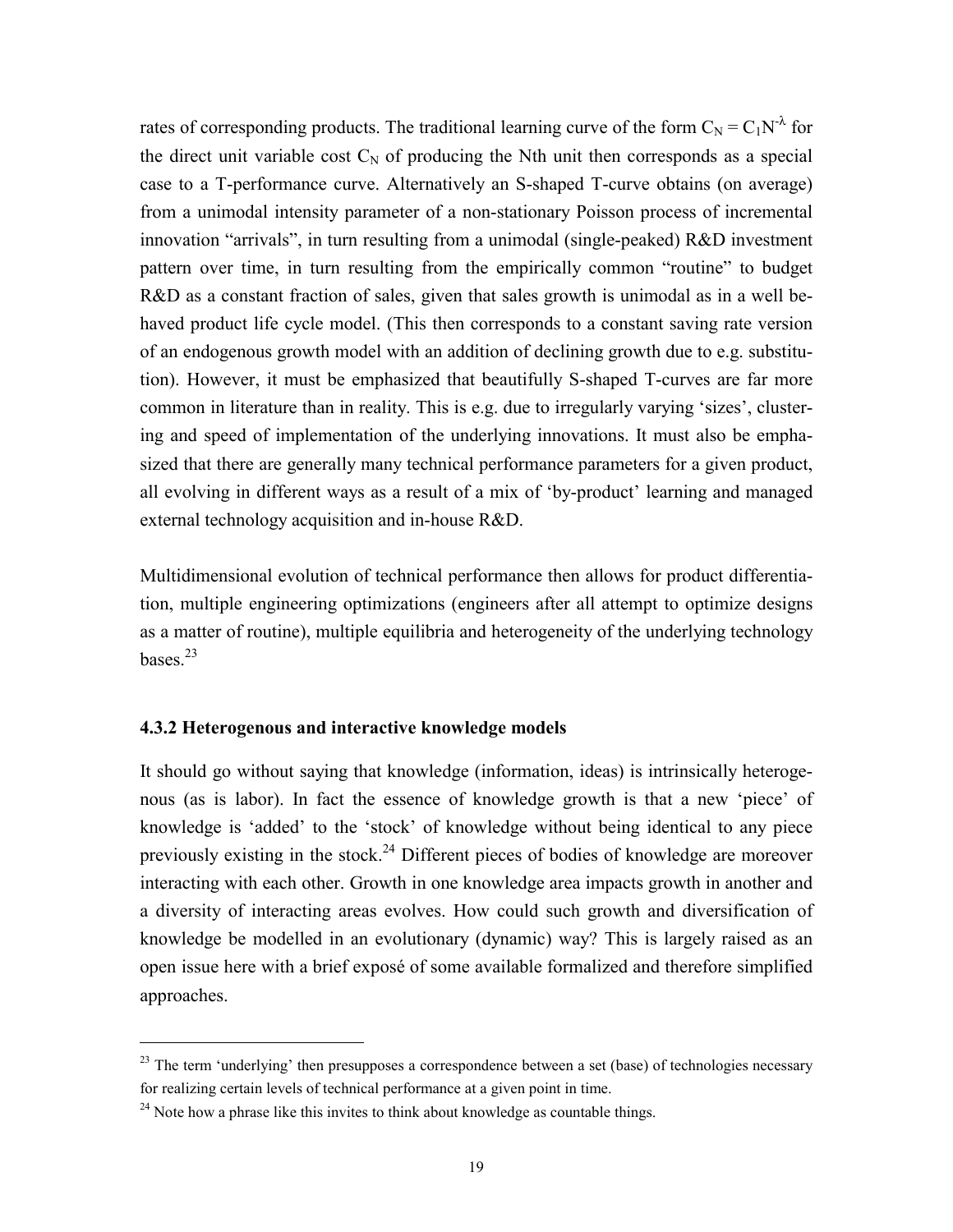rates of corresponding products. The traditional learning curve of the form  $C_N = C_1 N^{\lambda}$  for the direct unit variable cost  $C_N$  of producing the Nth unit then corresponds as a special case to a T-performance curve. Alternatively an S-shaped T-curve obtains (on average) from a unimodal intensity parameter of a non-stationary Poisson process of incremental innovation "arrivals", in turn resulting from a unimodal (single-peaked) R&D investment pattern over time, in turn resulting from the empirically common "routine" to budget R&D as a constant fraction of sales, given that sales growth is unimodal as in a well behaved product life cycle model. (This then corresponds to a constant saving rate version of an endogenous growth model with an addition of declining growth due to e.g. substitution). However, it must be emphasized that beautifully S-shaped T-curves are far more common in literature than in reality. This is e.g. due to irregularly varying 'sizes', clustering and speed of implementation of the underlying innovations. It must also be emphasized that there are generally many technical performance parameters for a given product, all evolving in different ways as a result of a mix of 'by-product' learning and managed external technology acquisition and in-house R&D.

Multidimensional evolution of technical performance then allows for product differentiation, multiple engineering optimizations (engineers after all attempt to optimize designs as a matter of routine), multiple equilibria and heterogeneity of the underlying technology bases.<sup>23</sup>

## **4.3.2 Heterogenous and interactive knowledge models**

It should go without saying that knowledge (information, ideas) is intrinsically heterogenous (as is labor). In fact the essence of knowledge growth is that a new 'piece' of knowledge is 'added' to the 'stock' of knowledge without being identical to any piece previously existing in the stock.<sup>24</sup> Different pieces of bodies of knowledge are moreover interacting with each other. Growth in one knowledge area impacts growth in another and a diversity of interacting areas evolves. How could such growth and diversification of knowledge be modelled in an evolutionary (dynamic) way? This is largely raised as an open issue here with a brief exposé of some available formalized and therefore simplified approaches.

 $^{23}$  The term 'underlying' then presupposes a correspondence between a set (base) of technologies necessary for realizing certain levels of technical performance at a given point in time.

 $24$  Note how a phrase like this invites to think about knowledge as countable things.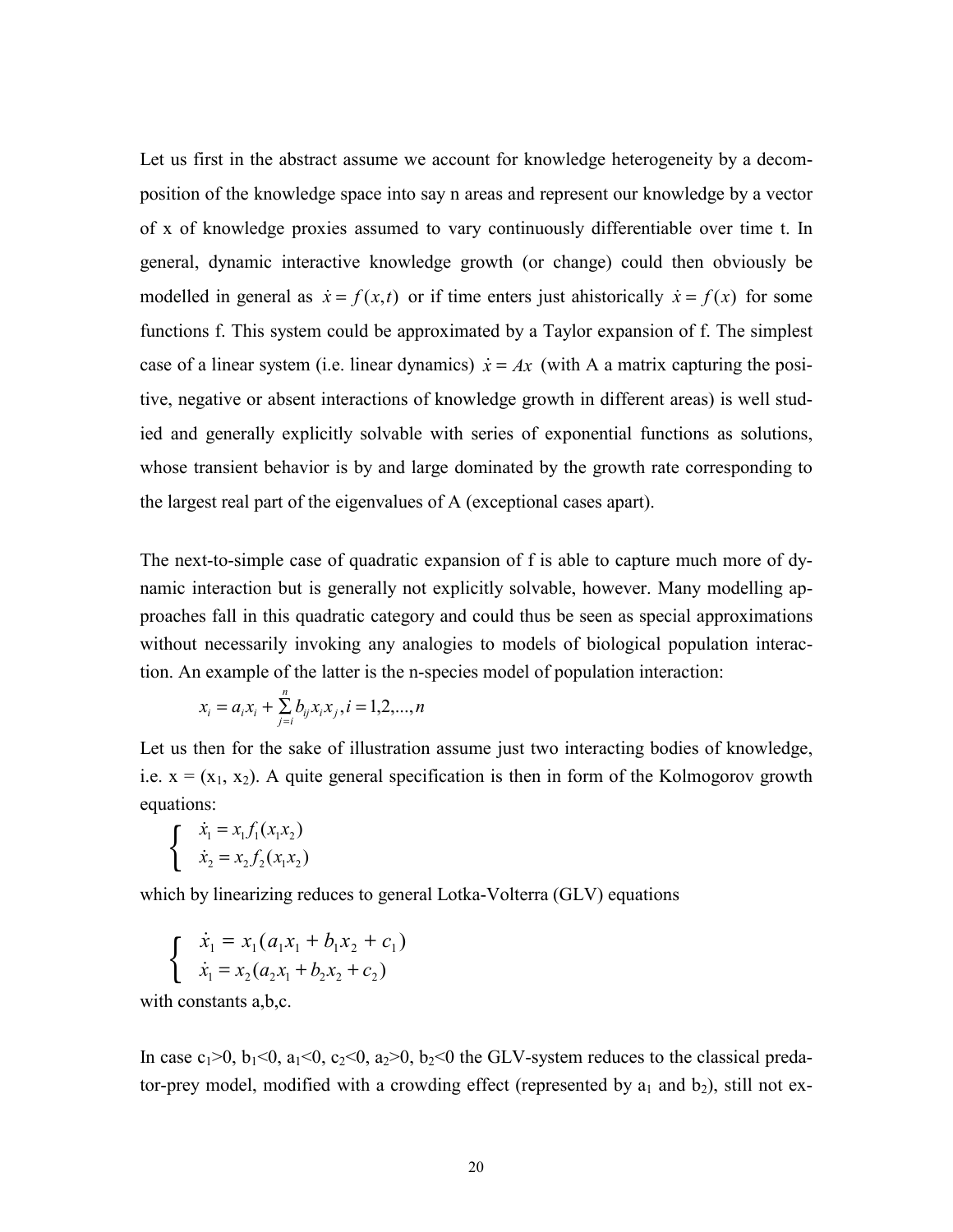Let us first in the abstract assume we account for knowledge heterogeneity by a decomposition of the knowledge space into say n areas and represent our knowledge by a vector of x of knowledge proxies assumed to vary continuously differentiable over time t. In general, dynamic interactive knowledge growth (or change) could then obviously be modelled in general as  $\dot{x} = f(x,t)$  or if time enters just ahistorically  $\dot{x} = f(x)$  for some functions f. This system could be approximated by a Taylor expansion of f. The simplest case of a linear system (i.e. linear dynamics)  $\dot{x} = Ax$  (with A a matrix capturing the positive, negative or absent interactions of knowledge growth in different areas) is well studied and generally explicitly solvable with series of exponential functions as solutions, whose transient behavior is by and large dominated by the growth rate corresponding to the largest real part of the eigenvalues of A (exceptional cases apart).

The next-to-simple case of quadratic expansion of f is able to capture much more of dynamic interaction but is generally not explicitly solvable, however. Many modelling approaches fall in this quadratic category and could thus be seen as special approximations without necessarily invoking any analogies to models of biological population interaction. An example of the latter is the n-species model of population interaction:

$$
x_i = a_i x_i + \sum_{j=i}^{n} b_{ij} x_i x_j, i = 1, 2, ..., n
$$

Let us then for the sake of illustration assume just two interacting bodies of knowledge, i.e.  $x = (x_1, x_2)$ . A quite general specification is then in form of the Kolmogorov growth equations:

$$
\begin{cases}\n\dot{x}_1 = x_1 f_1(x_1 x_2) \\
\dot{x}_2 = x_2 f_2(x_1 x_2)\n\end{cases}
$$

which by linearizing reduces to general Lotka-Volterra (GLV) equations

$$
\begin{cases}\n\dot{x}_1 = x_1(a_1x_1 + b_1x_2 + c_1) \\
\dot{x}_1 = x_2(a_2x_1 + b_2x_2 + c_2)\n\end{cases}
$$

with constants a,b,c.

In case  $c_1>0$ ,  $b_1<0$ ,  $a_1<0$ ,  $c_2<0$ ,  $a_2>0$ ,  $b_2<0$  the GLV-system reduces to the classical predator-prey model, modified with a crowding effect (represented by  $a_1$  and  $b_2$ ), still not ex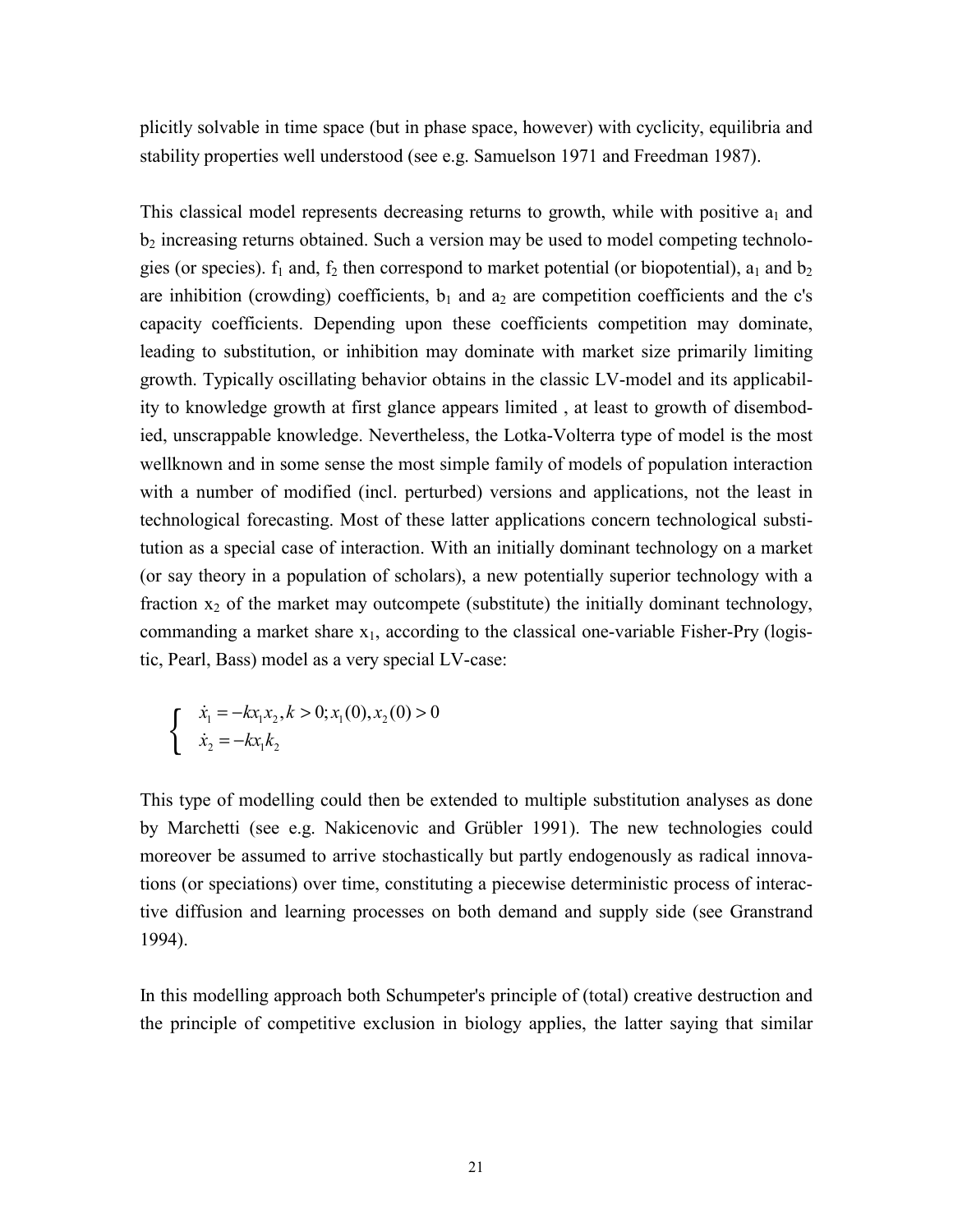plicitly solvable in time space (but in phase space, however) with cyclicity, equilibria and stability properties well understood (see e.g. Samuelson 1971 and Freedman 1987).

This classical model represents decreasing returns to growth, while with positive  $a_1$  and  $b_2$  increasing returns obtained. Such a version may be used to model competing technologies (or species).  $f_1$  and,  $f_2$  then correspond to market potential (or biopotential),  $a_1$  and  $b_2$ are inhibition (crowding) coefficients,  $b_1$  and  $a_2$  are competition coefficients and the c's capacity coefficients. Depending upon these coefficients competition may dominate, leading to substitution, or inhibition may dominate with market size primarily limiting growth. Typically oscillating behavior obtains in the classic LV-model and its applicability to knowledge growth at first glance appears limited , at least to growth of disembodied, unscrappable knowledge. Nevertheless, the Lotka-Volterra type of model is the most wellknown and in some sense the most simple family of models of population interaction with a number of modified (incl. perturbed) versions and applications, not the least in technological forecasting. Most of these latter applications concern technological substitution as a special case of interaction. With an initially dominant technology on a market (or say theory in a population of scholars), a new potentially superior technology with a fraction  $x_2$  of the market may outcompete (substitute) the initially dominant technology, commanding a market share  $x_1$ , according to the classical one-variable Fisher-Pry (logistic, Pearl, Bass) model as a very special LV-case:

$$
\begin{cases}\n\dot{x}_1 = -kx_1x_2, k > 0; x_1(0), x_2(0) > 0 \\
\dot{x}_2 = -kx_1k_2\n\end{cases}
$$

This type of modelling could then be extended to multiple substitution analyses as done by Marchetti (see e.g. Nakicenovic and Grübler 1991). The new technologies could moreover be assumed to arrive stochastically but partly endogenously as radical innovations (or speciations) over time, constituting a piecewise deterministic process of interactive diffusion and learning processes on both demand and supply side (see Granstrand 1994).

In this modelling approach both Schumpeter's principle of (total) creative destruction and the principle of competitive exclusion in biology applies, the latter saying that similar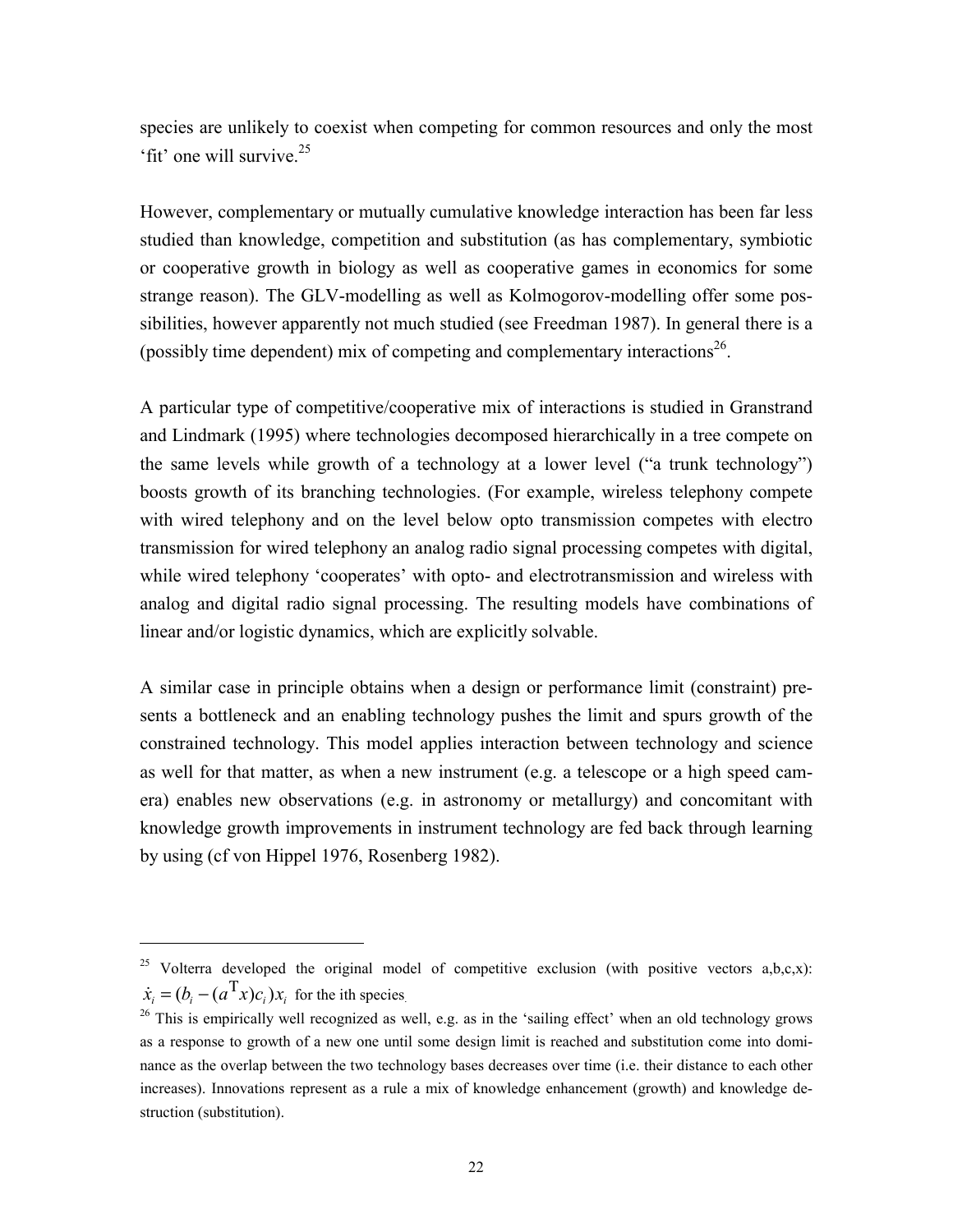species are unlikely to coexist when competing for common resources and only the most 'fit' one will survive.25

However, complementary or mutually cumulative knowledge interaction has been far less studied than knowledge, competition and substitution (as has complementary, symbiotic or cooperative growth in biology as well as cooperative games in economics for some strange reason). The GLV-modelling as well as Kolmogorov-modelling offer some possibilities, however apparently not much studied (see Freedman 1987). In general there is a (possibly time dependent) mix of competing and complementary interactions<sup>26</sup>.

A particular type of competitive/cooperative mix of interactions is studied in Granstrand and Lindmark (1995) where technologies decomposed hierarchically in a tree compete on the same levels while growth of a technology at a lower level ("a trunk technology") boosts growth of its branching technologies. (For example, wireless telephony compete with wired telephony and on the level below opto transmission competes with electro transmission for wired telephony an analog radio signal processing competes with digital, while wired telephony 'cooperates' with opto- and electrotransmission and wireless with analog and digital radio signal processing. The resulting models have combinations of linear and/or logistic dynamics, which are explicitly solvable.

A similar case in principle obtains when a design or performance limit (constraint) presents a bottleneck and an enabling technology pushes the limit and spurs growth of the constrained technology. This model applies interaction between technology and science as well for that matter, as when a new instrument (e.g. a telescope or a high speed camera) enables new observations (e.g. in astronomy or metallurgy) and concomitant with knowledge growth improvements in instrument technology are fed back through learning by using (cf von Hippel 1976, Rosenberg 1982).

<sup>&</sup>lt;sup>25</sup> Volterra developed the original model of competitive exclusion (with positive vectors  $a,b,c,x$ ):  $\dot{x}_i = (b_i - (a^{\mathrm{T}} x)c_i)x_i$  for the ith species.

<sup>&</sup>lt;sup>26</sup> This is empirically well recognized as well, e.g. as in the 'sailing effect' when an old technology grows as a response to growth of a new one until some design limit is reached and substitution come into dominance as the overlap between the two technology bases decreases over time (i.e. their distance to each other increases). Innovations represent as a rule a mix of knowledge enhancement (growth) and knowledge destruction (substitution).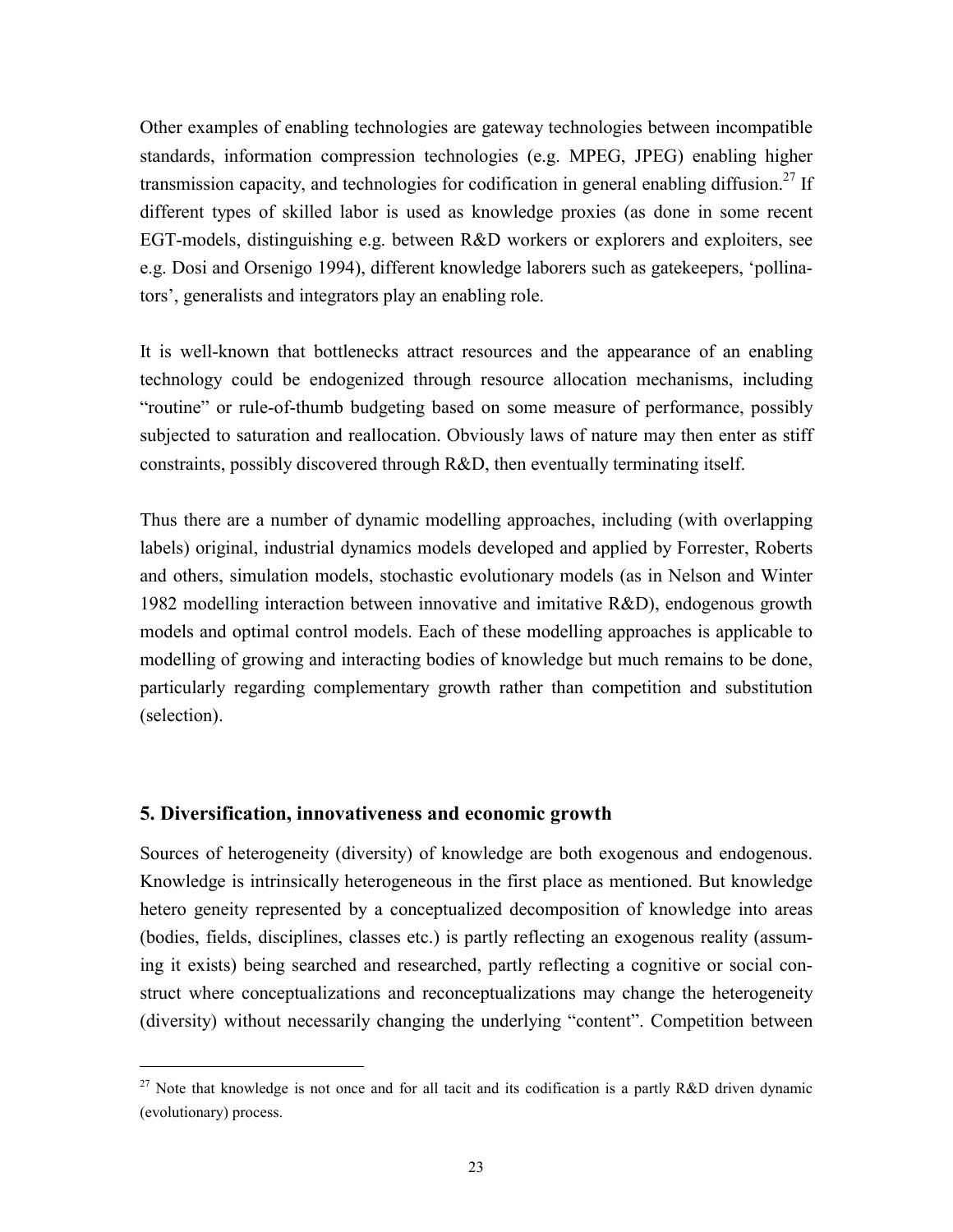Other examples of enabling technologies are gateway technologies between incompatible standards, information compression technologies (e.g. MPEG, JPEG) enabling higher transmission capacity, and technologies for codification in general enabling diffusion.<sup>27</sup> If different types of skilled labor is used as knowledge proxies (as done in some recent EGT-models, distinguishing e.g. between R&D workers or explorers and exploiters, see e.g. Dosi and Orsenigo 1994), different knowledge laborers such as gatekeepers, 'pollinators', generalists and integrators play an enabling role.

It is well-known that bottlenecks attract resources and the appearance of an enabling technology could be endogenized through resource allocation mechanisms, including "routine" or rule-of-thumb budgeting based on some measure of performance, possibly subjected to saturation and reallocation. Obviously laws of nature may then enter as stiff constraints, possibly discovered through R&D, then eventually terminating itself.

Thus there are a number of dynamic modelling approaches, including (with overlapping labels) original, industrial dynamics models developed and applied by Forrester, Roberts and others, simulation models, stochastic evolutionary models (as in Nelson and Winter 1982 modelling interaction between innovative and imitative R&D), endogenous growth models and optimal control models. Each of these modelling approaches is applicable to modelling of growing and interacting bodies of knowledge but much remains to be done, particularly regarding complementary growth rather than competition and substitution (selection).

# **5. Diversification, innovativeness and economic growth**

1

Sources of heterogeneity (diversity) of knowledge are both exogenous and endogenous. Knowledge is intrinsically heterogeneous in the first place as mentioned. But knowledge hetero geneity represented by a conceptualized decomposition of knowledge into areas (bodies, fields, disciplines, classes etc.) is partly reflecting an exogenous reality (assuming it exists) being searched and researched, partly reflecting a cognitive or social construct where conceptualizations and reconceptualizations may change the heterogeneity (diversity) without necessarily changing the underlying "content". Competition between

<sup>&</sup>lt;sup>27</sup> Note that knowledge is not once and for all tacit and its codification is a partly R&D driven dynamic (evolutionary) process.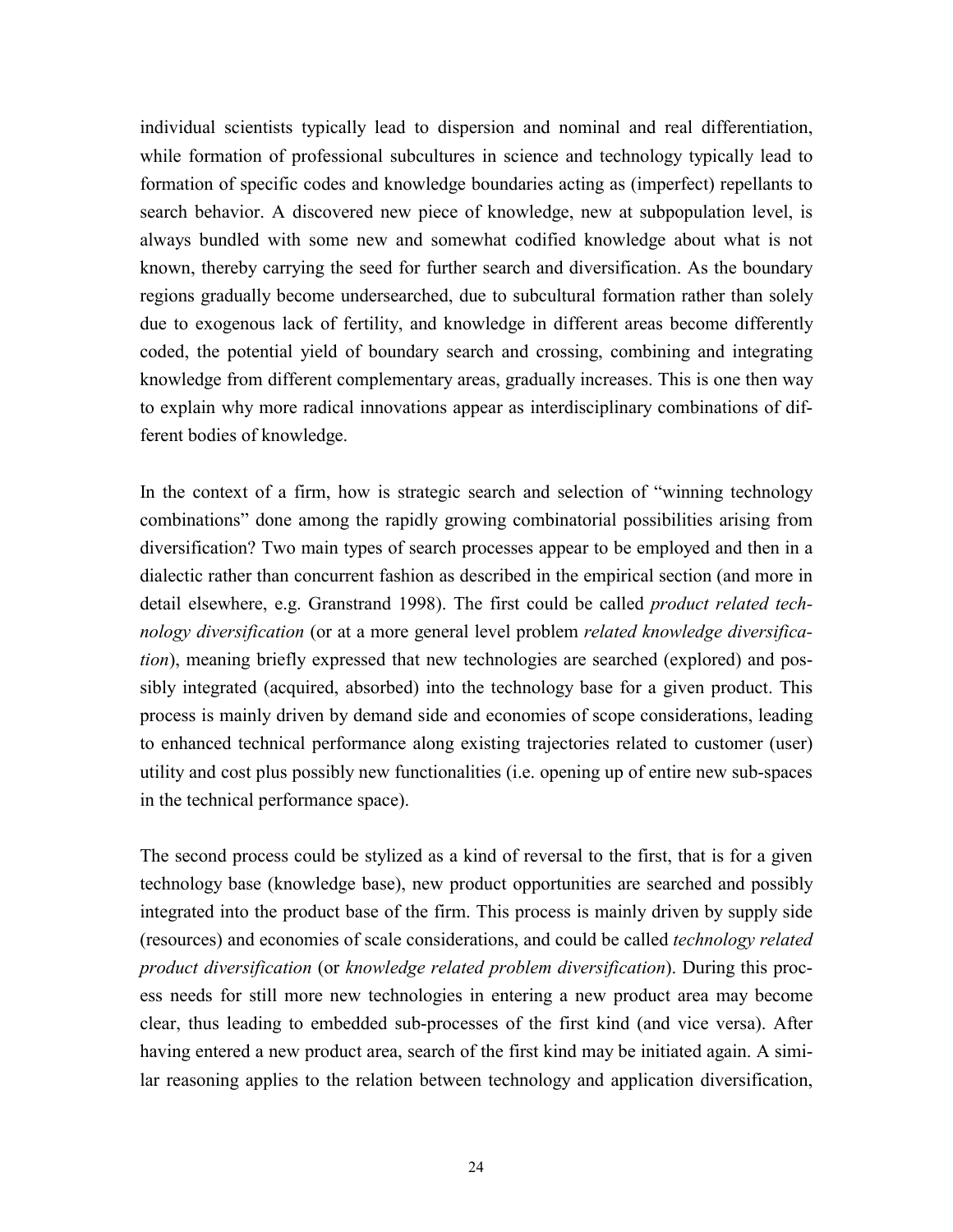individual scientists typically lead to dispersion and nominal and real differentiation, while formation of professional subcultures in science and technology typically lead to formation of specific codes and knowledge boundaries acting as (imperfect) repellants to search behavior. A discovered new piece of knowledge, new at subpopulation level, is always bundled with some new and somewhat codified knowledge about what is not known, thereby carrying the seed for further search and diversification. As the boundary regions gradually become undersearched, due to subcultural formation rather than solely due to exogenous lack of fertility, and knowledge in different areas become differently coded, the potential yield of boundary search and crossing, combining and integrating knowledge from different complementary areas, gradually increases. This is one then way to explain why more radical innovations appear as interdisciplinary combinations of different bodies of knowledge.

In the context of a firm, how is strategic search and selection of "winning technology combinations" done among the rapidly growing combinatorial possibilities arising from diversification? Two main types of search processes appear to be employed and then in a dialectic rather than concurrent fashion as described in the empirical section (and more in detail elsewhere, e.g. Granstrand 1998). The first could be called *product related technology diversification* (or at a more general level problem *related knowledge diversification*), meaning briefly expressed that new technologies are searched (explored) and possibly integrated (acquired, absorbed) into the technology base for a given product. This process is mainly driven by demand side and economies of scope considerations, leading to enhanced technical performance along existing trajectories related to customer (user) utility and cost plus possibly new functionalities (i.e. opening up of entire new sub-spaces in the technical performance space).

The second process could be stylized as a kind of reversal to the first, that is for a given technology base (knowledge base), new product opportunities are searched and possibly integrated into the product base of the firm. This process is mainly driven by supply side (resources) and economies of scale considerations, and could be called *technology related product diversification* (or *knowledge related problem diversification*). During this process needs for still more new technologies in entering a new product area may become clear, thus leading to embedded sub-processes of the first kind (and vice versa). After having entered a new product area, search of the first kind may be initiated again. A similar reasoning applies to the relation between technology and application diversification,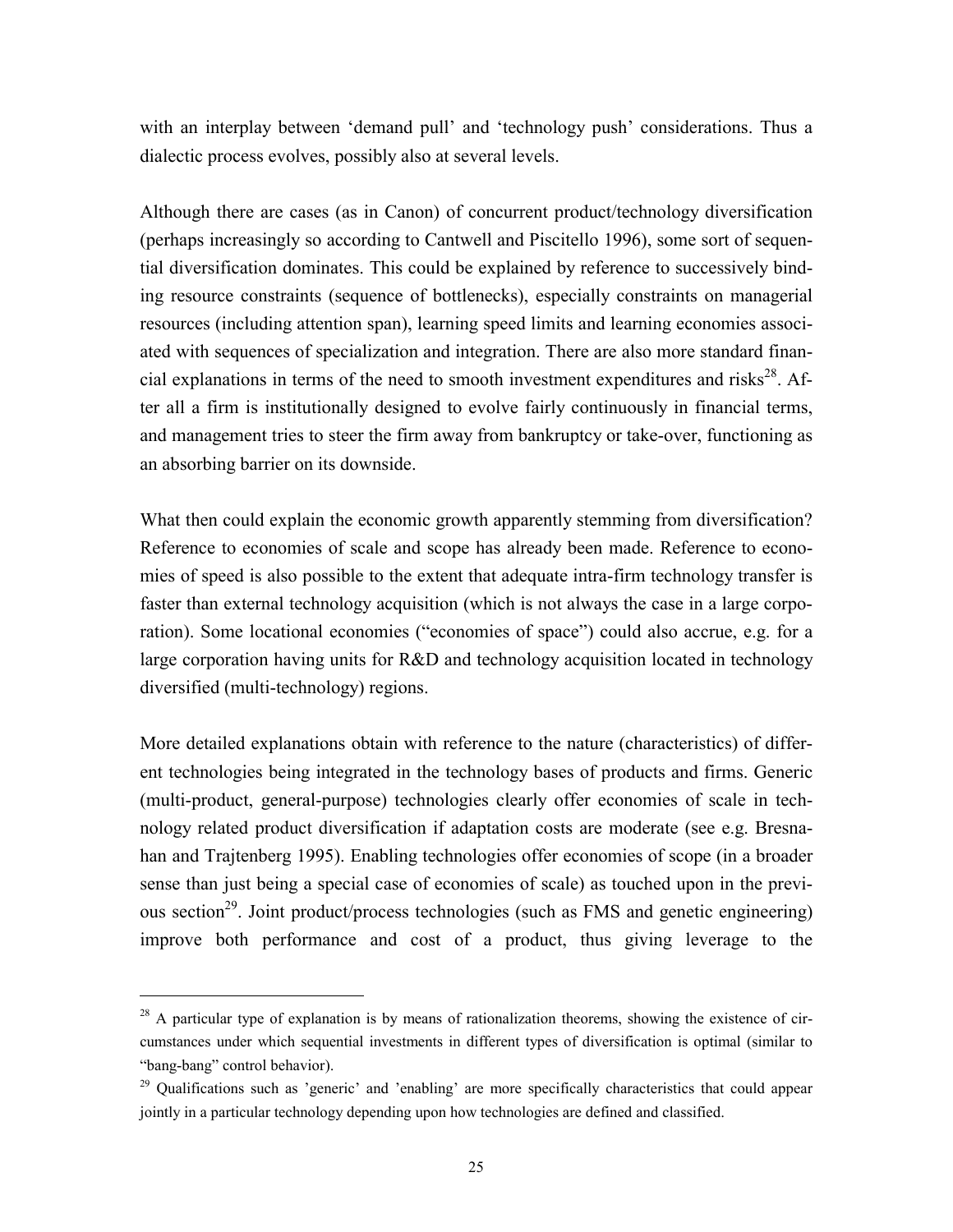with an interplay between 'demand pull' and 'technology push' considerations. Thus a dialectic process evolves, possibly also at several levels.

Although there are cases (as in Canon) of concurrent product/technology diversification (perhaps increasingly so according to Cantwell and Piscitello 1996), some sort of sequential diversification dominates. This could be explained by reference to successively binding resource constraints (sequence of bottlenecks), especially constraints on managerial resources (including attention span), learning speed limits and learning economies associated with sequences of specialization and integration. There are also more standard financial explanations in terms of the need to smooth investment expenditures and risks $28$ . After all a firm is institutionally designed to evolve fairly continuously in financial terms, and management tries to steer the firm away from bankruptcy or take-over, functioning as an absorbing barrier on its downside.

What then could explain the economic growth apparently stemming from diversification? Reference to economies of scale and scope has already been made. Reference to economies of speed is also possible to the extent that adequate intra-firm technology transfer is faster than external technology acquisition (which is not always the case in a large corporation). Some locational economies ("economies of space") could also accrue, e.g. for a large corporation having units for R&D and technology acquisition located in technology diversified (multi-technology) regions.

More detailed explanations obtain with reference to the nature (characteristics) of different technologies being integrated in the technology bases of products and firms. Generic (multi-product, general-purpose) technologies clearly offer economies of scale in technology related product diversification if adaptation costs are moderate (see e.g. Bresnahan and Trajtenberg 1995). Enabling technologies offer economies of scope (in a broader sense than just being a special case of economies of scale) as touched upon in the previous section<sup>29</sup>. Joint product/process technologies (such as FMS and genetic engineering) improve both performance and cost of a product, thus giving leverage to the

 $28$  A particular type of explanation is by means of rationalization theorems, showing the existence of circumstances under which sequential investments in different types of diversification is optimal (similar to "bang-bang" control behavior).

<sup>&</sup>lt;sup>29</sup> Qualifications such as 'generic' and 'enabling' are more specifically characteristics that could appear jointly in a particular technology depending upon how technologies are defined and classified.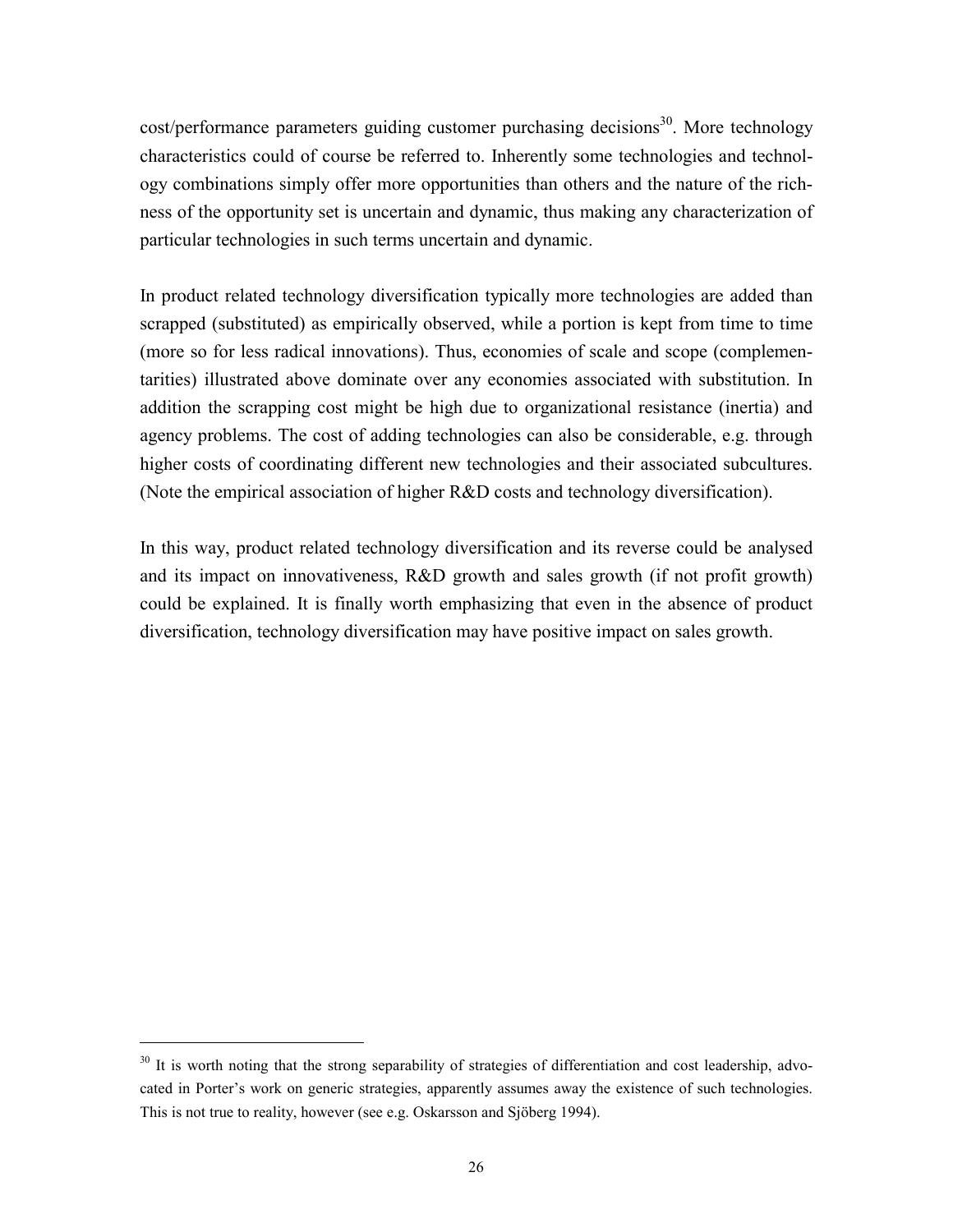$cost/performance$  parameters guiding customer purchasing decisions<sup>30</sup>. More technology characteristics could of course be referred to. Inherently some technologies and technology combinations simply offer more opportunities than others and the nature of the richness of the opportunity set is uncertain and dynamic, thus making any characterization of particular technologies in such terms uncertain and dynamic.

In product related technology diversification typically more technologies are added than scrapped (substituted) as empirically observed, while a portion is kept from time to time (more so for less radical innovations). Thus, economies of scale and scope (complementarities) illustrated above dominate over any economies associated with substitution. In addition the scrapping cost might be high due to organizational resistance (inertia) and agency problems. The cost of adding technologies can also be considerable, e.g. through higher costs of coordinating different new technologies and their associated subcultures. (Note the empirical association of higher R&D costs and technology diversification).

In this way, product related technology diversification and its reverse could be analysed and its impact on innovativeness, R&D growth and sales growth (if not profit growth) could be explained. It is finally worth emphasizing that even in the absence of product diversification, technology diversification may have positive impact on sales growth.

 $30$  It is worth noting that the strong separability of strategies of differentiation and cost leadership, advocated in Porter's work on generic strategies, apparently assumes away the existence of such technologies. This is not true to reality, however (see e.g. Oskarsson and Sjöberg 1994).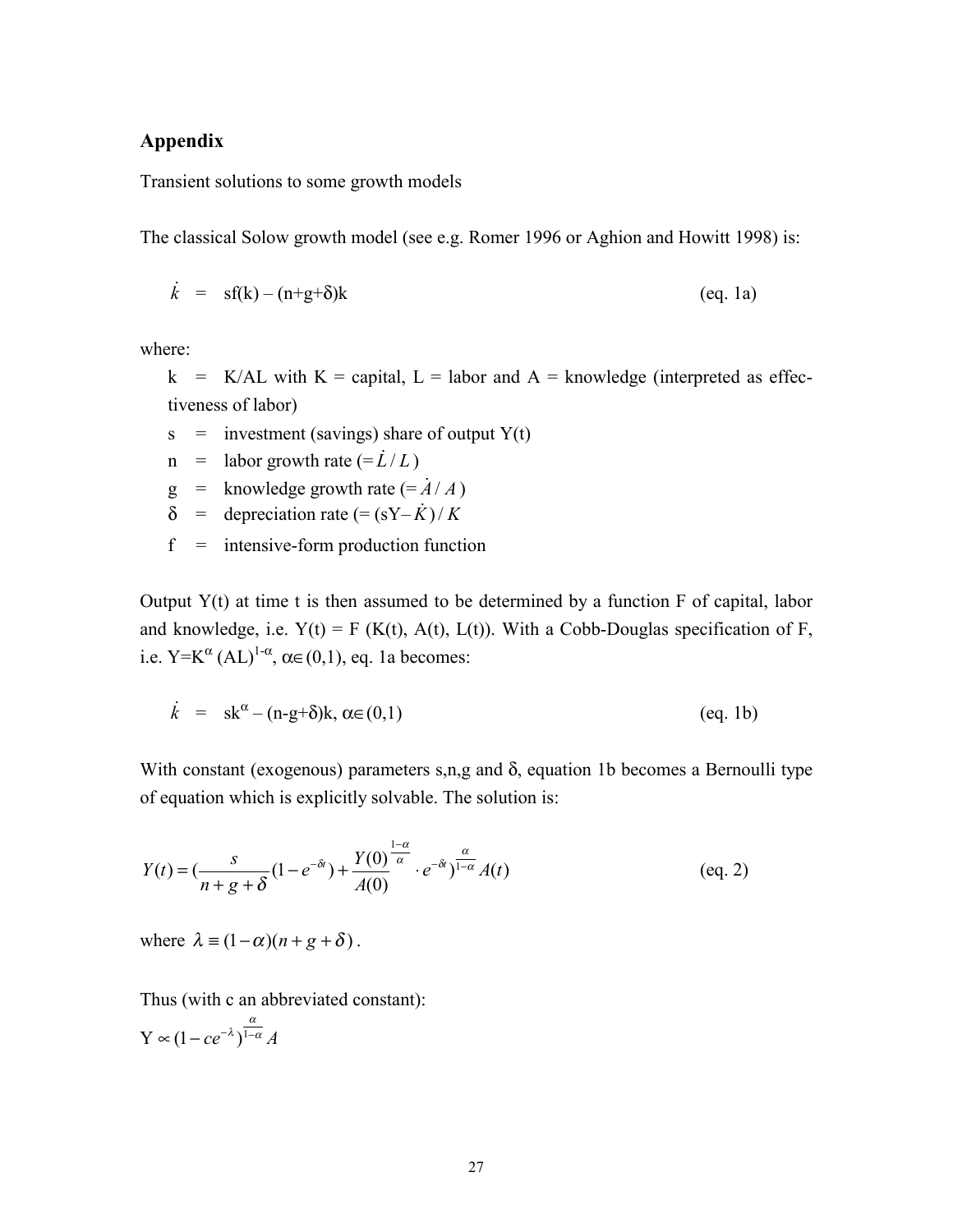# **Appendix**

Transient solutions to some growth models

The classical Solow growth model (see e.g. Romer 1996 or Aghion and Howitt 1998) is:

$$
\dot{k} = \text{sf}(k) - (n+g+\delta)k \tag{eq.1a}
$$

where:

 $k$  = K/AL with K = capital, L = labor and A = knowledge (interpreted as effectiveness of labor)

 $s =$  investment (savings) share of output Y(t)

- $n =$  labor growth rate  $(=\dot{L}/L)$
- $g =$  knowledge growth rate  $(=\dot{A}/A)$
- $\delta$  = depreciation rate  $(=(sY-\hat{K})/K)$
- $f =$  intensive-form production function

Output  $Y(t)$  at time t is then assumed to be determined by a function  $F$  of capital, labor and knowledge, i.e.  $Y(t) = F(K(t), A(t), L(t))$ . With a Cobb-Douglas specification of F, i.e.  $Y=K^{\alpha}(AL)^{1-\alpha}, \alpha \in (0,1)$ , eq. 1a becomes:

$$
\dot{k} = sk^{\alpha} - (n - g + \delta)k, \alpha \in (0, 1)
$$
 (eq. 1b)

With constant (exogenous) parameters  $s, n, g$  and  $\delta$ , equation 1b becomes a Bernoulli type of equation which is explicitly solvable. The solution is:

$$
Y(t) = \left(\frac{s}{n+g+\delta}(1-e^{-\delta t}) + \frac{Y(0)}{A(0)}\right)^{\frac{1-\alpha}{\alpha}} \cdot e^{-\delta t} \Big)^{\frac{\alpha}{1-\alpha}} A(t)
$$
 (eq. 2)

where  $\lambda = (1 - \alpha)(n + g + \delta)$ .

Thus (with c an abbreviated constant):

 $Y \propto (1 - ce^{-\lambda})^{\frac{\alpha}{1 - \alpha}} A$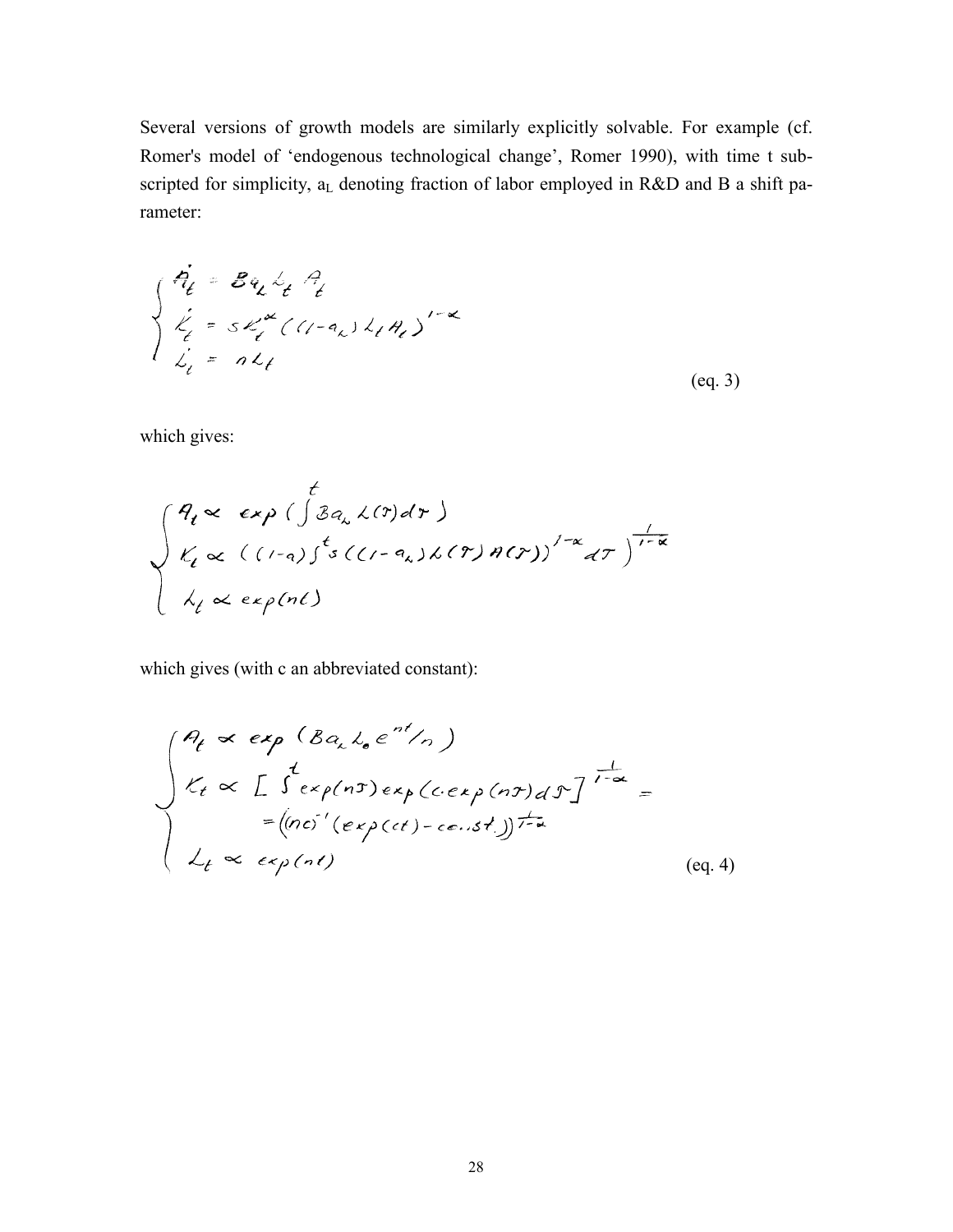Several versions of growth models are similarly explicitly solvable. For example (cf. Romer's model of 'endogenous technological change', Romer 1990), with time t subscripted for simplicity,  $a_L$  denoting fraction of labor employed in R&D and B a shift parameter:

$$
\begin{cases}\n\dot{q}_t = Bq_t \dot{b}_t \dot{q}_t \\
\dot{\ell}_t = S \dot{\ell}_t \left( (1 - q_x) \dot{\ell}_t \dot{q}_t \right)^{1 - \kappa} \\
\dot{\ell}_t = n \dot{\ell}_t\n\end{cases}
$$
\n  
\n(eq.3)

which gives:

$$
\int_{K_{\ell}}^{H_{\ell}} \propto exp\left(\int \mathcal{B}a_{\lambda} \lambda(\tau) d\tau\right)
$$
  

$$
\int_{K_{\ell}} \propto \left((1-a)\int^{t} s\left((1-a_{\lambda})\lambda(\tau)\right) d(\tau)\right)^{1-\alpha} d\tau\right)^{\frac{1}{1-\alpha}}
$$
  

$$
\int_{K_{\ell}} \propto exp(n\ell)
$$

which gives (with c an abbreviated constant):

$$
\int_{\ell}^{\ell} \begin{array}{l}\n\mathcal{A}_{\ell} \propto exp(\beta a_{\lambda} l_{\sigma} e^{-\lambda t}/n) \\
\mathcal{L}_{\ell} \propto \int_{-\infty}^{t} \exp(n\tau) exp(c \cdot exp(n\tau) d\mathcal{F})^{\frac{1}{1-\alpha}} \\
= \left( (nc)^{2} (exp(ct) - cos \cdot st) \right)^{\frac{1}{1-\alpha}} \\
\mathcal{L}_{\ell} \propto exp(n\ell)\n\end{array}
$$
\n
$$
(eq. 4)
$$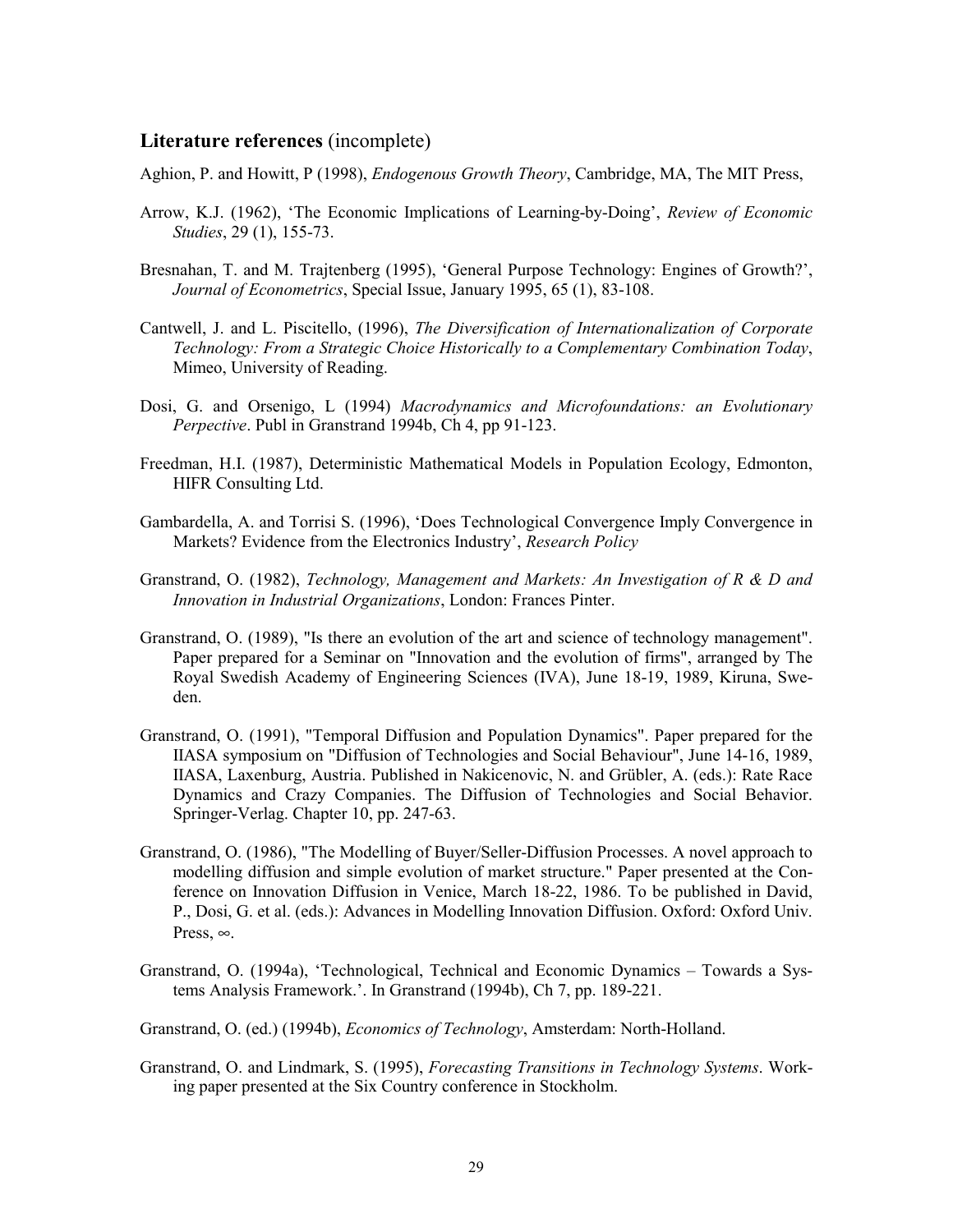#### **Literature references** (incomplete)

Aghion, P. and Howitt, P (1998), *Endogenous Growth Theory*, Cambridge, MA, The MIT Press,

- Arrow, K.J. (1962), 'The Economic Implications of Learning-by-Doing', *Review of Economic Studies*, 29 (1), 155-73.
- Bresnahan, T. and M. Trajtenberg (1995), 'General Purpose Technology: Engines of Growth?', *Journal of Econometrics*, Special Issue, January 1995, 65 (1), 83-108.
- Cantwell, J. and L. Piscitello, (1996), *The Diversification of Internationalization of Corporate Technology: From a Strategic Choice Historically to a Complementary Combination Today*, Mimeo, University of Reading.
- Dosi, G. and Orsenigo, L (1994) *Macrodynamics and Microfoundations: an Evolutionary Perpective*. Publ in Granstrand 1994b, Ch 4, pp 91-123.
- Freedman, H.I. (1987), Deterministic Mathematical Models in Population Ecology, Edmonton, HIFR Consulting Ltd.
- Gambardella, A. and Torrisi S. (1996), 'Does Technological Convergence Imply Convergence in Markets? Evidence from the Electronics Industry', *Research Policy*
- Granstrand, O. (1982), *Technology, Management and Markets: An Investigation of R & D and Innovation in Industrial Organizations*, London: Frances Pinter.
- Granstrand, O. (1989), "Is there an evolution of the art and science of technology management". Paper prepared for a Seminar on "Innovation and the evolution of firms", arranged by The Royal Swedish Academy of Engineering Sciences (IVA), June 18-19, 1989, Kiruna, Sweden.
- Granstrand, O. (1991), "Temporal Diffusion and Population Dynamics". Paper prepared for the IIASA symposium on "Diffusion of Technologies and Social Behaviour", June 14-16, 1989, IIASA, Laxenburg, Austria. Published in Nakicenovic, N. and Grübler, A. (eds.): Rate Race Dynamics and Crazy Companies. The Diffusion of Technologies and Social Behavior. Springer-Verlag. Chapter 10, pp. 247-63.
- Granstrand, O. (1986), "The Modelling of Buyer/Seller-Diffusion Processes. A novel approach to modelling diffusion and simple evolution of market structure." Paper presented at the Conference on Innovation Diffusion in Venice, March 18-22, 1986. To be published in David, P., Dosi, G. et al. (eds.): Advances in Modelling Innovation Diffusion. Oxford: Oxford Univ. Press, ∞.
- Granstrand, O. (1994a), 'Technological, Technical and Economic Dynamics Towards a Systems Analysis Framework.'. In Granstrand (1994b), Ch 7, pp. 189-221.
- Granstrand, O. (ed.) (1994b), *Economics of Technology*, Amsterdam: North-Holland.
- Granstrand, O. and Lindmark, S. (1995), *Forecasting Transitions in Technology Systems*. Working paper presented at the Six Country conference in Stockholm.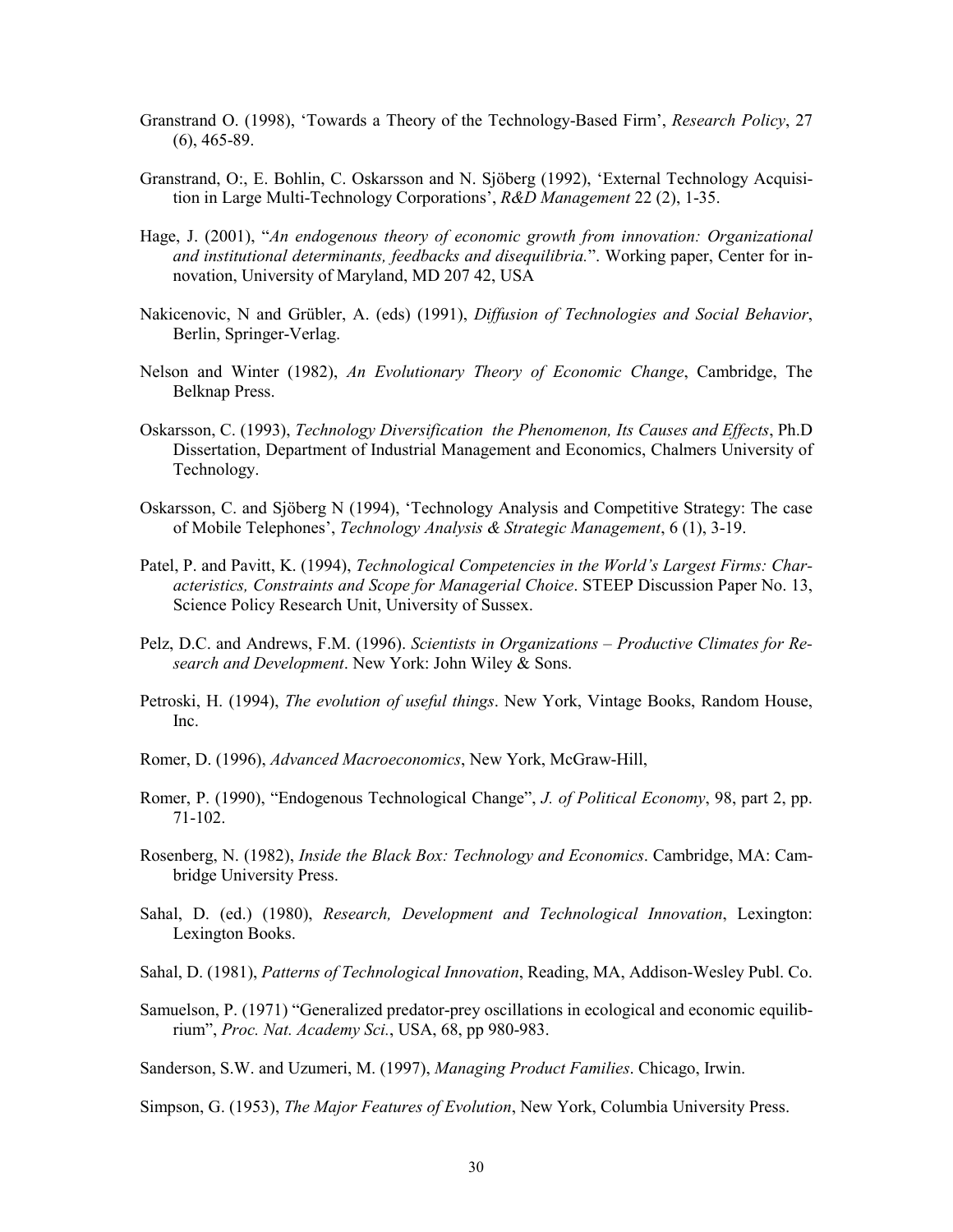- Granstrand O. (1998), 'Towards a Theory of the Technology-Based Firm', *Research Policy*, 27 (6), 465-89.
- Granstrand, O:, E. Bohlin, C. Oskarsson and N. Sjöberg (1992), 'External Technology Acquisition in Large Multi-Technology Corporations', *R&D Management* 22 (2), 1-35.
- Hage, J. (2001), "*An endogenous theory of economic growth from innovation: Organizational and institutional determinants, feedbacks and disequilibria.*". Working paper, Center for innovation, University of Maryland, MD 207 42, USA
- Nakicenovic, N and Grübler, A. (eds) (1991), *Diffusion of Technologies and Social Behavior*, Berlin, Springer-Verlag.
- Nelson and Winter (1982), *An Evolutionary Theory of Economic Change*, Cambridge, The Belknap Press.
- Oskarsson, C. (1993), *Technology Diversification the Phenomenon, Its Causes and Effects*, Ph.D Dissertation, Department of Industrial Management and Economics, Chalmers University of Technology.
- Oskarsson, C. and Sjöberg N (1994), 'Technology Analysis and Competitive Strategy: The case of Mobile Telephones', *Technology Analysis & Strategic Management*, 6 (1), 3-19.
- Patel, P. and Pavitt, K. (1994), *Technological Competencies in the World's Largest Firms: Characteristics, Constraints and Scope for Managerial Choice*. STEEP Discussion Paper No. 13, Science Policy Research Unit, University of Sussex.
- Pelz, D.C. and Andrews, F.M. (1996). *Scientists in Organizations Productive Climates for Research and Development*. New York: John Wiley & Sons.
- Petroski, H. (1994), *The evolution of useful things*. New York, Vintage Books, Random House, Inc.
- Romer, D. (1996), *Advanced Macroeconomics*, New York, McGraw-Hill,
- Romer, P. (1990), "Endogenous Technological Change", *J. of Political Economy*, 98, part 2, pp. 71-102.
- Rosenberg, N. (1982), *Inside the Black Box: Technology and Economics*. Cambridge, MA: Cambridge University Press.
- Sahal, D. (ed.) (1980), *Research, Development and Technological Innovation*, Lexington: Lexington Books.
- Sahal, D. (1981), *Patterns of Technological Innovation*, Reading, MA, Addison-Wesley Publ. Co.
- Samuelson, P. (1971) "Generalized predator-prey oscillations in ecological and economic equilibrium", *Proc. Nat. Academy Sci.*, USA, 68, pp 980-983.

Sanderson, S.W. and Uzumeri, M. (1997), *Managing Product Families*. Chicago, Irwin.

Simpson, G. (1953), *The Major Features of Evolution*, New York, Columbia University Press.